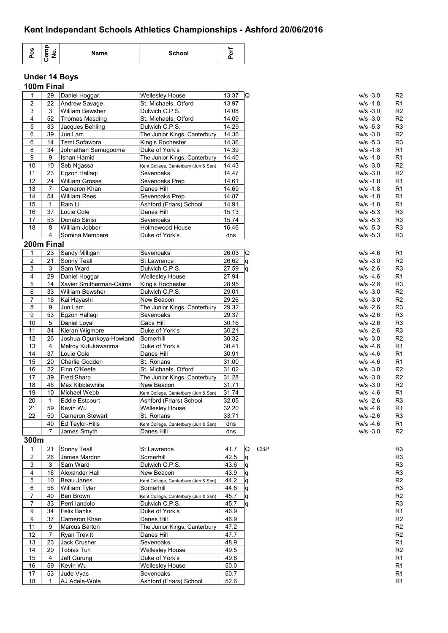# **Kent Independant Schools Athletics Championships - Ashford 20/06/2016**

| <b>S</b> | −<br>ັ | Name | <b>School</b> | л. |
|----------|--------|------|---------------|----|
|----------|--------|------|---------------|----|

# **Under 14 Boys 100m Final**

| 1                       | 29             | Daniel Hoggar            | <b>Wellesley House</b>               | 13.37 $ Q $ |   |            | $w/s - 3.0$ | R <sub>2</sub> |
|-------------------------|----------------|--------------------------|--------------------------------------|-------------|---|------------|-------------|----------------|
|                         |                |                          |                                      |             |   |            |             |                |
| 2                       | 22             | Andrew Savage            | St. Michaels, Otford                 | 13.97       |   |            | $W/S - 1.8$ | R <sub>1</sub> |
| 3                       | 3              | <b>William Bewsher</b>   | Dulwich C.P.S.                       | 14.08       |   |            | $w/s - 3.0$ | R <sub>2</sub> |
| 4                       | 52             | Thomas Masding           | St. Michaels, Otford                 | 14.09       |   |            | $w/s - 3.0$ | R <sub>2</sub> |
| 5                       | 33             | Jacques Behling          | Dulwich C.P.S.                       | 14.29       |   |            | $w/s - 5.3$ | R <sub>3</sub> |
| 6                       | 39             | Jun Lam                  | The Junior Kings, Canterbury         | 14.36       |   |            | $W/S - 3.0$ | R <sub>2</sub> |
| 6                       | 14             | Temi Sofawora            | King's Rochester                     | 14.36       |   |            | $w/s - 5.3$ | R <sub>3</sub> |
| 8                       | 34             | Johnathan Semugooma      | Duke of York's                       | 14.39       |   |            | $w/s - 1.8$ | R1             |
| 9                       | 9              | Ishan Hamid              | The Junior Kings, Canterbury         | 14.40       |   |            | $w/s - 1.8$ | R1             |
| 10                      | 10             | Seb Ngassa               | Kent College, Canterbury (Jun & Sen) | 14.43       |   |            | $w/s - 3.0$ | R <sub>2</sub> |
| 11                      | 23             | Egzon Hallagi            | Sevenoaks                            | 14.47       |   |            | $w/s - 3.0$ | R <sub>2</sub> |
| 12                      | 24             | <b>William Grosse</b>    |                                      | 14.61       |   |            | $W/S - 1.8$ | R1             |
|                         |                |                          | Sevenoaks Prep                       |             |   |            |             |                |
| 13                      | $\overline{7}$ | Cameron Khan             | Danes Hill                           | 14.69       |   |            | $w/s - 1.8$ | R <sub>1</sub> |
| 14                      | 54             | <b>William Rees</b>      | Sevenoaks Prep                       | 14.87       |   |            | $W/S - 1.8$ | R1             |
| 15                      | 1              | Rain Li                  | Ashford (Friars) School              | 14.91       |   |            | $w/s - 1.8$ | R <sub>1</sub> |
| 16                      | 37             | Louie Cole               | Danes Hill                           | 15.13       |   |            | $w/s - 5.3$ | R <sub>3</sub> |
| 17                      | 53             | Donato Sinisi            | Sevenoaks                            | 15.74       |   |            | $w/s - 5.3$ | R <sub>3</sub> |
| 18                      | 8              | William Jobber           | Holmewood House                      | 16.46       |   |            | $w/s - 5.3$ | R <sub>3</sub> |
|                         | 4              | Somina Membere           | Duke of York's                       | dns         |   |            | $w/s - 5.3$ | R <sub>3</sub> |
| 200m Final              |                |                          |                                      |             |   |            |             |                |
|                         |                |                          |                                      |             |   |            |             |                |
| 1                       | 23             | Sandy Milligan           | Sevenoaks                            | 26.03       | Q |            | $W/S -4.6$  | R <sub>1</sub> |
| $\overline{2}$          | 21             | Sonny Teall              | St Lawrence                          | 26.62       | q |            | $w/s - 3.0$ | R <sub>2</sub> |
| 3                       | 3              | Sam Ward                 | Dulwich C.P.S.                       | 27.59       | q |            | $W/S - 2.6$ | R <sub>3</sub> |
| 4                       | 29             | Daniel Hoggar            | Wellesley House                      | 27.94       |   |            | $W/S -4.6$  | R <sub>1</sub> |
| 5                       | 14             | Xavier Smitherman-Cairns | King's Rochester                     | 28.95       |   |            | $w/s - 2.6$ | R <sub>3</sub> |
| 6                       | 33             | <b>William Bewsher</b>   | Dulwich C.P.S.                       | 29.01       |   |            | $w/s - 3.0$ | R <sub>2</sub> |
| 7                       | 16             | Kai Hayashi              | New Beacon                           | 29.26       |   |            | $w/s - 3.0$ | R <sub>2</sub> |
| 8                       | 9              | Jun Lam                  | The Junior Kings, Canterbury         | 29.32       |   |            | $w/s - 2.6$ | R <sub>3</sub> |
| 9                       | 53             | Egzon Hallagi            |                                      | 29.37       |   |            | $W/S - 2.6$ | R <sub>3</sub> |
|                         |                |                          | Sevenoaks                            |             |   |            |             |                |
| 10                      | 5              | Daniel Loyal             | Gads Hill                            | 30.16       |   |            | $w/s - 2.6$ | R <sub>3</sub> |
| 11                      | 34             | Kieran Wigmore           | Duke of York's                       | 30.21       |   |            | $w/s - 2.6$ | R <sub>3</sub> |
| 12                      | 26             | Joshua Ogunkoya-Howland  | Somerhill                            | 30.32       |   |            | $w/s - 3.0$ | R <sub>2</sub> |
| 13                      | 4              | Melroy Kutukawarima      | Duke of York's                       | 30.41       |   |            | $W/S -4.6$  | R1             |
| 14                      | 37             | Louie Cole               | Danes Hill                           | 30.91       |   |            | $W/S -4.6$  | R1             |
| 15                      | 20             | Charlie Godden           | St. Ronans                           | 31.00       |   |            | $W/S -4.6$  | R1             |
| 16                      | 22             | Finn O'Keefe             | St. Michaels, Otford                 | 31.02       |   |            | $w/s - 3.0$ | R <sub>2</sub> |
| 17                      | 39             | <b>Fred Sharp</b>        | The Junior Kings, Canterbury         | 31.28       |   |            | $w/s - 3.0$ | R <sub>2</sub> |
| 18                      | 46             | Max Kibblewhite          | New Beacon                           | 31.71       |   |            | $w/s - 3.0$ | R <sub>2</sub> |
| 19                      | 10             | Michael Webb             | Kent College, Canterbury (Jun & Sen) | 31.74       |   |            | $W/S -4.6$  | R1             |
|                         |                |                          |                                      |             |   |            |             |                |
| 20                      | $\mathbf{1}$   | <b>Eddie Estcourt</b>    | Ashford (Friars) School              | 32.05       |   |            | $W/S - 2.6$ | R <sub>3</sub> |
| 21                      | 59             | Kevin Wu                 | <b>Wellesley House</b>               | 32.20       |   |            | $W/S -4.6$  | R <sub>1</sub> |
| 22                      | 50             | <b>Cameron Stewart</b>   | St. Ronans                           | 33.71       |   |            | $W/S - 2.6$ | R <sub>3</sub> |
|                         | 40             | Ed Taylor-Hills          | Kent College, Canterbury (Jun & Sen) | dns         |   |            | $W/S -4.6$  | R1             |
|                         | 7              | James Smyth              | Danes Hill                           | dns         |   |            | $W/S -3.0$  | R <sub>2</sub> |
| 300m                    |                |                          |                                      |             |   |            |             |                |
| 1                       | 21             | Sonny Teall              | St Lawrence                          | 41.7        | Q | <b>CBP</b> |             | R <sub>3</sub> |
| $\overline{2}$          | 26             | James Mardon             | Somerhill                            | 42.5        |   |            |             | R <sub>3</sub> |
| $\mathsf 3$             | 3              | Sam Ward                 | Dulwich C.P.S.                       | 43.6        | q |            |             | R <sub>3</sub> |
|                         |                |                          |                                      |             | q |            |             |                |
| $\overline{\mathbf{4}}$ | 16             | Alexander Hall           | New Beacon                           | 43.9        | q |            |             | R <sub>3</sub> |
| 5                       | 10             | Beau Janes               | Kent College, Canterbury (Jun & Sen) | 44.2        | q |            |             | R <sub>2</sub> |
| 6                       | 56             | William Tyler            | Somerhill                            | 44.6        | q |            |             | R <sub>3</sub> |
| $\overline{7}$          | 40             | Ben Brown                | Kent College, Canterbury (Jun & Sen) | 45.7        | q |            |             | R <sub>2</sub> |
| $\boldsymbol{7}$        | 33             | Perri landolo            | Dulwich C.P.S.                       | 45.7        | q |            |             | R <sub>3</sub> |
| 9                       | 34             | <b>Felix Banks</b>       | Duke of York's                       | 46.9        |   |            |             | R <sub>1</sub> |
| $\boldsymbol{9}$        | 37             | Cameron Khan             | Danes Hill                           | 46.9        |   |            |             | R2             |
| 11                      | 9              | Marcus Barton            | The Junior Kings, Canterbury         | 47.2        |   |            |             | R <sub>2</sub> |
| 12                      | 7              | <b>Ryan Trevitt</b>      | Danes Hill                           | 47.7        |   |            |             | R <sub>2</sub> |
| 13                      | 23             | Jack Crusher             | Sevenoaks                            | 48.9        |   |            |             | R <sub>1</sub> |
|                         |                |                          |                                      |             |   |            |             |                |
| 14                      | 29             | <b>Tobias Turl</b>       | <b>Wellesley House</b>               | 49.5        |   |            |             | R2             |
| 15                      | $\overline{4}$ | Jeff Gurung              | Duke of York's                       | 49.8        |   |            |             | R1             |
| 16                      | 59             | Kevin Wu                 | <b>Wellesley House</b>               | 50.0        |   |            |             | R <sub>1</sub> |
| 17                      | 53             | Jude Vyas                | Sevenoaks                            | 50.7        |   |            |             | R <sub>1</sub> |
| 18                      | 1              | AJ Adele-Wole            | Ashford (Friars) School              | 52.6        |   |            |             | R1             |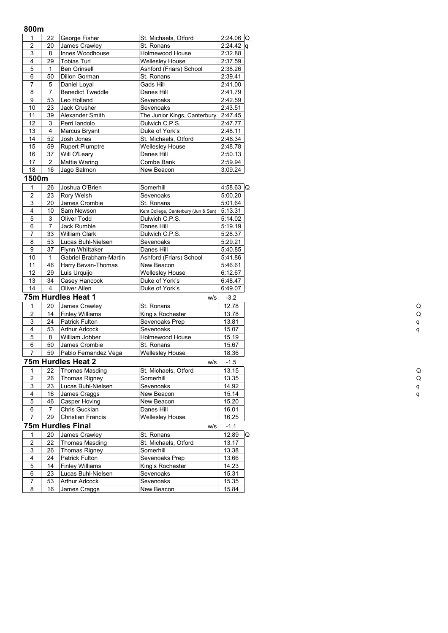## **800m**

| uuun                    |                         |                          |                                      |              |   |
|-------------------------|-------------------------|--------------------------|--------------------------------------|--------------|---|
| 1                       | 22                      | George Fisher            | St. Michaels, Otford                 | $2:24.06$ Q  |   |
| $\overline{c}$          | 20                      | James Crawley            | St. Ronans                           | $2:24.42$ q  |   |
| 3                       | 8                       | Innes Woodhouse          | Holmewood House                      | 2:32.88      |   |
| $\overline{4}$          | 29                      | <b>Tobias Turl</b>       | <b>Wellesley House</b>               | 2:37.59      |   |
| 5                       | 1                       | <b>Ben Grinsell</b>      | Ashford (Friars) School              | 2:38.26      |   |
| 6                       | 50                      | Dillon Gorman            | St. Ronans                           | 2:39.41      |   |
| $\overline{7}$          | 5                       | Daniel Loyal             | Gads Hill                            | 2:41.00      |   |
| $\overline{8}$          | $\overline{7}$          | <b>Benedict Tweddle</b>  | Danes Hill                           | 2:41.79      |   |
| 9                       | 53                      | Leo Holland              | Sevenoaks                            | 2:42.59      |   |
| 10                      | 23                      | Jack Crusher             | Sevenoaks                            | 2:43.51      |   |
| 11                      | 39                      | Alexander Smith          | The Junior Kings, Canterbury         | 2:47.45      |   |
| $\overline{12}$         | $\mathsf 3$             | Perri landolo            | Dulwich C.P.S.                       | 2:47.77      |   |
| 13                      | $\overline{\mathbf{4}}$ | Marcus Bryant            | Duke of York's                       | 2:48.11      |   |
| 14                      | 52                      | Josh Jones               | St. Michaels, Otford                 | 2:48.34      |   |
| 15                      | 59                      | <b>Rupert Plumptre</b>   | <b>Wellesley House</b>               | 2:48.78      |   |
| 16                      | 37                      | Will O'Leary             | Danes Hill                           | 2:50.13      |   |
| 17                      | $\overline{c}$          | Mattie Waring            | Combe Bank                           | 2:59.94      |   |
| 18                      | 16                      | Jago Salmon              | New Beacon                           | 3:09.24      |   |
| 1500m                   |                         |                          |                                      |              |   |
| $\mathbf{1}$            | 26                      | Joshua O'Brien           | Somerhill                            | 4:58.63 Q    |   |
| $\overline{c}$          | 23                      | Rory Welsh               | Sevenoaks                            | 5:00.20      |   |
| 3                       | 20                      | James Crombie            | St. Ronans                           | 5:01.64      |   |
| 4                       | 10                      | Sam Newson               | Kent College, Canterbury (Jun & Sen) | 5:13.31      |   |
| $\overline{5}$          | 3                       | Oliver Todd              | Dulwich C.P.S.                       | 5:14.02      |   |
| 6                       | $\overline{7}$          | Jack Rumble              | Danes Hill                           | 5:19.19      |   |
| 7                       | 33                      | William Clark            | Dulwich C.P.S.                       | 5:28.37      |   |
| 8                       | 53                      | Lucas Buhl-Nielsen       | Sevenoaks                            | 5:29.21      |   |
| 9                       | 37                      | Flynn Whittaker          | Danes Hill                           | 5:40.85      |   |
| 10                      | $\mathbf{1}$            | Gabriel Brabham-Martin   | Ashford (Friars) School              | 5:41.86      |   |
| 11                      | 46                      | Harry Bevan-Thomas       | New Beacon                           | 5:46.61      |   |
| 12                      | 29                      | Luis Urquijo             | <b>Wellesley House</b>               | 6:12.67      |   |
| 13                      | 34                      | Casey Hancock            | Duke of York's                       | 6:48.47      |   |
| 14                      | $\overline{4}$          | Oliver Allen             | Duke of York's                       | 6:49.07      |   |
|                         |                         | 75m Hurdles Heat 1       | w/s                                  | $-3.2$       |   |
| 1                       | 20                      | James Crawley            | St. Ronans                           | 12.78        |   |
| $\overline{2}$          | 14                      | <b>Finley Williams</b>   | King's Rochester                     | 13.78        |   |
| 3                       | 24                      | <b>Patrick Fulton</b>    | Sevenoaks Prep                       | 13.81        |   |
| 4                       | 53                      | Arthur Adcock            | Sevenoaks                            | 15.07        |   |
| 5                       | 8                       | William Jobber           | Holmewood House                      | 15.19        |   |
| 6                       | 50                      | James Crombie            | St. Ronans                           | 15.67        |   |
| $\overline{7}$          | 59                      | Pablo Fernandez Vega     | <b>Wellesley House</b>               | 18.36        |   |
|                         |                         | 75m Hurdles Heat 2       | w/s                                  | $-1.5$       |   |
| 1                       | 22                      | <b>Thomas Masding</b>    | St. Michaels, Otford                 | 13.15        |   |
| $\overline{\mathbf{c}}$ | 26                      | Thomas Rigney            | Somerhill                            | 13.35        |   |
| 3                       | 23                      | Lucas Buhl-Nielsen       | Sevenoaks                            | 14.92        |   |
| 4                       | 16                      | James Craggs             | New Beacon                           | 15.14        |   |
| 5                       | 46                      | Casper Hoving            | New Beacon                           | 15.20        |   |
| 6                       | 7                       | Chris Guckian            | Danes Hill                           | 16.01        |   |
| $\overline{7}$          | 29                      | Christian Francis        | <b>Wellesley House</b>               | 16.25        |   |
|                         |                         | <b>75m Hurdles Final</b> | w/s                                  | $-1.1$       |   |
| 1                       | 20                      | James Crawley            | St. Ronans                           | 12.89        | Q |
| $\overline{\mathbf{c}}$ | 22                      | <b>Thomas Masding</b>    | St. Michaels, Otford                 | 13.17        |   |
| 3                       | 26                      | Thomas Rigney            | Somerhill                            | 13.38        |   |
| 4                       | 24                      | Patrick Fulton           | Sevenoaks Prep                       | 13.66        |   |
| 5                       | 14                      | <b>Finley Williams</b>   | King's Rochester                     | 14.23        |   |
| 6                       | 23                      | Lucas Buhl-Nielsen       | Sevenoaks                            | 15.31        |   |
| 7                       | 53                      | Arthur Adcock            | Sevenoaks                            | <u>15.35</u> |   |
| 8                       | 16                      | James Craggs             | New Beacon                           | 15.84        |   |
|                         |                         |                          |                                      |              |   |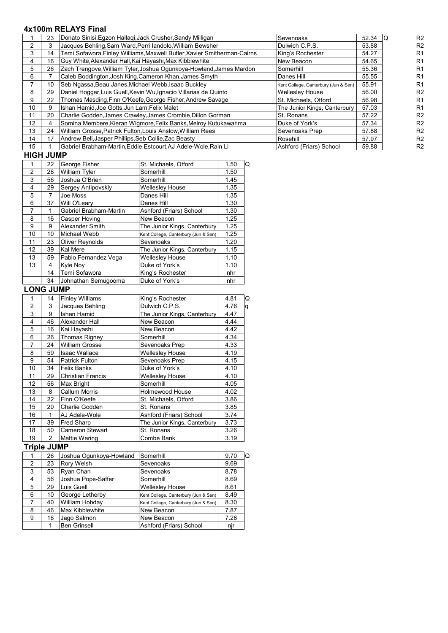# **4x100m RELAYS Final**

|                 | 23 | Donato Sinisi, Egzon Hallagi, Jack Crusher, Sandy Milligan               | Sevenoaks                            | 52.34 | R <sub>2</sub> |
|-----------------|----|--------------------------------------------------------------------------|--------------------------------------|-------|----------------|
|                 |    | Jacques Behling, Sam Ward, Perri landolo, William Bewsher                | Dulwich C.P.S.                       | 53.88 | R <sub>2</sub> |
| 3               | 14 | Temi Sofawora, Finley Williams, Maxwell Butler, Xavier Smitherman-Cairns | King's Rochester                     | 54.27 | R <sub>1</sub> |
| 4               | 16 | Guy White, Alexander Hall, Kai Hayashi, Max Kibblewhite                  | New Beacon                           | 54.65 | R <sub>1</sub> |
| 5               | 26 | Zach Trengove, William Tyler, Joshua Ogunkoya-Howland, James Mardon      | Somerhill                            | 55.36 | R <sub>1</sub> |
| 6               |    | Caleb Boddington, Josh King, Cameron Khan, James Smyth                   | Danes Hill                           | 55.55 | R <sub>1</sub> |
|                 | 10 | Seb Ngassa, Beau Janes, Michael Webb, Isaac Buckley                      | Kent College, Canterbury (Jun & Sen) | 55.91 | R <sub>1</sub> |
| 8               | 29 | Daniel Hoggar, Luis Guell, Kevin Wu, Ignacio Villarias de Quinto         | <b>Wellesley House</b>               | 56.00 | R <sub>2</sub> |
| 9               | 22 | Thomas Masding, Finn O'Keefe, George Fisher, Andrew Savage               | St. Michaels, Otford                 | 56.98 | R <sub>1</sub> |
| 10 <sup>1</sup> | 9  | Ishan Hamid, Joe Gotts, Jun Lam, Felix Malet                             | The Junior Kings, Canterbury         | 57.03 | R <sub>1</sub> |
| 11              | 20 | Charlie Godden, James Crawley, James Crombie, Dillon Gorman              | St. Ronans                           | 57.22 | R <sub>2</sub> |
| 12 <sup>2</sup> |    | Somina Membere, Kieran Wigmore, Felix Banks, Melroy Kutukawarima         | Duke of York's                       | 57.34 | R <sub>2</sub> |
| 13              | 24 | William Grosse, Patrick Fulton, Louis Anslow, William Rees               | Sevenoaks Prep                       | 57.88 | R <sub>2</sub> |
| 14              | 17 | Andrew Bell, Jasper Phillips, Seb Collie, Zac Beasty                     | Rosehill                             | 57.97 | R <sub>2</sub> |
| 15              |    | Gabriel Brabham-Martin, Eddie Estcourt, AJ Adele-Wole, Rain Li           | Ashford (Friars) School              | 59.88 | R <sub>2</sub> |
|                 |    |                                                                          |                                      |       |                |

## **HIGH JUMP**

|                | 22 | George Fisher          | St. Michaels, Otford                 | 1.50<br>Q |
|----------------|----|------------------------|--------------------------------------|-----------|
| $\overline{2}$ | 26 | William Tyler          | Somerhill                            | 1.50      |
| 3              | 56 | Joshua O'Brien         | Somerhill                            | 1.45      |
| 4              | 29 | Sergey Antipovskiy     | <b>Wellesley House</b>               | 1.35      |
| 5              | 7  | Joe Moss               | Danes Hill                           | 1.35      |
| 6              | 37 | Will O'Leary           | Danes Hill                           | 1.30      |
| 7              |    | Gabriel Brabham-Martin | Ashford (Friars) School              | 1.30      |
| 8              | 16 | Casper Hoving          | New Beacon                           | 1.25      |
| 9              | 9  | Alexander Smith        | The Junior Kings, Canterbury         | 1.25      |
| 10             | 10 | Michael Webb           | Kent College, Canterbury (Jun & Sen) | 1.25      |
| 11             | 23 | <b>Oliver Reynolds</b> | Sevenoaks                            | 1.20      |
| 12             | 39 | <b>Kal Mere</b>        | The Junior Kings, Canterbury         | 1.15      |
| 13             | 59 | Pablo Fernandez Vega   | <b>Wellesley House</b>               | 1.10      |
| 13             | 4  | Kyle Nov               | Duke of York's                       | 1.10      |
|                | 14 | Temi Sofawora          | King's Rochester                     | nhr       |
|                | 34 | Johnathan Semugooma    | Duke of York's                       | nhr       |

# LONG JUMP

|                | 14             | <b>Finley Williams</b> | King's Rochester             | 4.81 | Q |
|----------------|----------------|------------------------|------------------------------|------|---|
| $\overline{2}$ | 3              | Jacques Behling        | Dulwich C.P.S.               | 4.76 | q |
| 3              | 9              | Ishan Hamid            | The Junior Kings, Canterbury | 4.47 |   |
| 4              | 46             | Alexander Hall         | New Beacon                   | 4.44 |   |
| 5              | 16             | Kai Hayashi            | New Beacon                   | 4.42 |   |
| 6              | 26             | Thomas Rigney          | Somerhill                    | 4.34 |   |
| 7              | 24             | William Grosse         | Sevenoaks Prep               | 4.33 |   |
| 8              | 59             | Isaac Wallace          | <b>Wellesley House</b>       | 4.19 |   |
| 9              | 54             | Patrick Fulton         | Sevenoaks Prep               | 4.15 |   |
| 10             | 34             | Felix Banks            | Duke of York's               | 4.10 |   |
| 11             | 29             | Christian Francis      | Wellesley House              | 4.10 |   |
| 12             | 56             | <b>Max Bright</b>      | Somerhill                    | 4.05 |   |
| 13             | 8              | Callum Morris          | <b>Holmewood House</b>       | 4.02 |   |
| 14             | 22             | Finn O'Keefe           | St. Michaels, Otford         | 3.86 |   |
| 15             | 20             | Charlie Godden         | St. Ronans                   | 3.85 |   |
| 16             | 1              | AJ Adele-Wole          | Ashford (Friars) School      | 3.74 |   |
| 17             | 39             | Fred Sharp             | The Junior Kings, Canterbury | 3.73 |   |
| 18             | 50             | Cameron Stewart        | St. Ronans                   | 3.26 |   |
| 19             | $\overline{2}$ | Mattie Waring          | Combe Bank                   | 3.19 |   |

## **Triple JUMP**

|   | 26 | Joshua Ogunkoya-Howland | Somerhill                            | 9.70 | Q |
|---|----|-------------------------|--------------------------------------|------|---|
| 2 | 23 | Rory Welsh              | Sevenoaks                            | 9.69 |   |
| 3 | 53 | Ryan Chan               | Sevenoaks                            | 8.78 |   |
| 4 | 56 | Joshua Pope-Saffer      | Somerhill                            | 8.69 |   |
| 5 | 29 | Luis Guell              | <b>Wellesley House</b>               | 8.61 |   |
| 6 | 10 | George Letherby         | Kent College, Canterbury (Jun & Sen) | 8.49 |   |
|   | 40 | William Hobday          | Kent College, Canterbury (Jun & Sen) | 8.30 |   |
| 8 | 46 | Max Kibblewhite         | New Beacon                           | 7.87 |   |
| 9 | 16 | Jago Salmon             | New Beacon                           | 7.28 |   |
|   |    | <b>Ben Grinsell</b>     | Ashford (Friars) School              | njr  |   |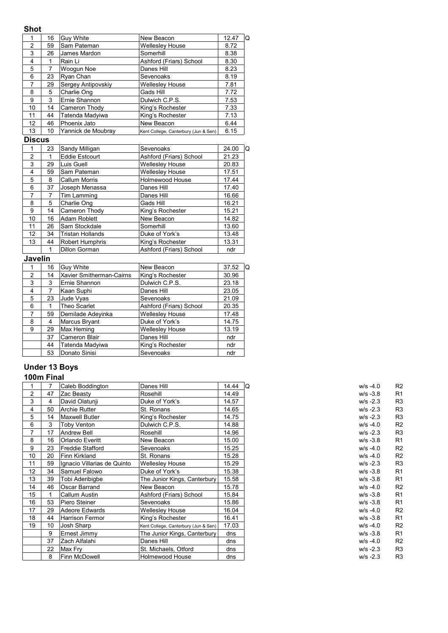## **Shot**

|               | 16 | Guy White          | New Beacon                           | 12.47<br>Q |
|---------------|----|--------------------|--------------------------------------|------------|
| $\mathcal{P}$ | 59 | Sam Pateman        | <b>Wellesley House</b>               | 8.72       |
| 3             | 26 | James Mardon       | Somerhill                            | 8.38       |
| 4             |    | Rain Li            | Ashford (Friars) School              | 8.30       |
| 5             | 7  | Woogun Noe         | Danes Hill                           | 8.23       |
| 6             | 23 | Ryan Chan          | Sevenoaks                            | 8.19       |
| 7             | 29 | Sergey Antipovskiy | <b>Wellesley House</b>               | 7.81       |
| 8             | 5  | Charlie Ong        | Gads Hill                            | 7.72       |
| 9             | 3  | Ernie Shannon      | Dulwich C.P.S.                       | 7.53       |
| 10            | 14 | Cameron Thody      | King's Rochester                     | 7.33       |
| 11            | 44 | Tatenda Madyiwa    | King's Rochester                     | 7.13       |
| 12            | 46 | Phoenix Jato       | New Beacon                           | 6.44       |
| 13            | 10 | Yannick de Moubray | Kent College, Canterbury (Jun & Sen) | 6.15       |

# **Discus**

|                | 23 | Sandy Milligan          | Sevenoaks               | 24.00<br>Q |
|----------------|----|-------------------------|-------------------------|------------|
| $\mathfrak{p}$ |    | <b>Eddie Estcourt</b>   | Ashford (Friars) School | 21.23      |
| 3              | 29 | Luis Guell              | <b>Wellesley House</b>  | 20.83      |
| 4              | 59 | Sam Pateman             | <b>Wellesley House</b>  | 17.51      |
| 5              | 8  | Callum Morris           | <b>Holmewood House</b>  | 17.44      |
| 6              | 37 | Joseph Menassa          | Danes Hill              | 17.40      |
| 7              | 7  | Tim Lamming             | Danes Hill              | 16.66      |
| 8              | 5  | Charlie Ong             | Gads Hill               | 16.21      |
| 9              | 14 | Cameron Thody           | King's Rochester        | 15.21      |
| 10             | 16 | Adam Roblett            | New Beacon              | 14.82      |
| 11             | 26 | Sam Stockdale           | Somerhill               | 13.60      |
| 12             | 34 | <b>Tristan Hollands</b> | Duke of York's          | 13.48      |
| 13             | 44 | Robert Humphris         | King's Rochester        | 13.31      |
|                |    | <b>Dillon Gorman</b>    | Ashford (Friars) School | ndr        |

# **Javelin**

|   | 16 | <b>Guy White</b>         | New Beacon              | 37.52<br>١Q |
|---|----|--------------------------|-------------------------|-------------|
| 2 | 14 | Xavier Smitherman-Cairns | King's Rochester        | 30.96       |
| 3 | 3  | Ernie Shannon            | Dulwich C.P.S.          | 23.18       |
| 4 |    | Kaan Suphi               | Danes Hill              | 23.05       |
| 5 | 23 | Jude Vyas                | Sevenoaks               | 21.09       |
| 6 |    | Theo Scarlet             | Ashford (Friars) School | 20.35       |
| 7 | 59 | Demilade Adevinka        | <b>Wellesley House</b>  | 17.48       |
| 8 | 4  | Marcus Bryant            | Duke of York's          | 14.75       |
| 9 | 29 | Max Heming               | <b>Wellesley House</b>  | 13.19       |
|   | 37 | <b>Cameron Blair</b>     | Danes Hill              | ndr         |
|   | 44 | Tatenda Madyiwa          | King's Rochester        | ndr         |
|   | 53 | Donato Sinisi            | Sevenoaks               | ndr         |

# **Under 13 Boys 100m Final**

|    | 7  | Caleb Boddington            | Danes Hill                           | 14.44 | lO<br>$W/S -4.0$ |
|----|----|-----------------------------|--------------------------------------|-------|------------------|
| 2  | 47 | Zac Beasty                  | Rosehill                             | 14.49 | $W/S -3.8$       |
| 3  | 4  | David Olatunji              | Duke of York's                       | 14.57 | $W/S - 2.3$      |
| 4  | 50 | <b>Archie Rutter</b>        | St. Ronans                           | 14.65 | $w/s - 2.3$      |
| 5  | 14 | <b>Maxwell Butler</b>       | King's Rochester                     | 14.75 | $w/s - 2.3$      |
| 6  | 3  | Toby Venton                 | Dulwich C.P.S.                       | 14.88 | $w/s -4.0$       |
| 7  | 17 | <b>Andrew Bell</b>          | Rosehill                             | 14.96 | $w/s - 2.3$      |
| 8  | 16 | Orlando Everitt             | New Beacon                           | 15.00 | $W/S -3.8$       |
| 9  | 23 | <b>Freddie Stafford</b>     | Sevenoaks                            | 15.25 | $w/s -4.0$       |
| 10 | 20 | Finn Kirkland               | St. Ronans                           | 15.28 | $w/s -4.0$       |
| 11 | 59 | Ignacio Villarias de Quinto | <b>Wellesley House</b>               | 15.29 | $w/s - 2.3$      |
| 12 | 34 | Samuel Falowo               | Duke of York's                       | 15.38 | $W/S -3.8$       |
| 13 | 39 | Tobi Aderibigbe             | The Junior Kings, Canterbury         | 15.58 | $W/S -3.8$       |
| 14 | 46 | Oscar Barrand               | New Beacon                           | 15.78 | $w/s -4.0$       |
| 15 |    | Callum Austin               | Ashford (Friars) School              | 15.84 | $w/s - 3.8$      |
| 16 | 53 | Piero Steiner               | Sevenoaks                            | 15.86 | $W/S -3.8$       |
| 17 | 29 | <b>Adeore Edwards</b>       | <b>Wellesley House</b>               | 16.04 | $w/s - 4.0$      |
| 18 | 44 | <b>Harrison Fermor</b>      | King's Rochester                     | 16.41 | $w/s - 3.8$      |
| 19 | 10 | Josh Sharp                  | Kent College, Canterbury (Jun & Sen) | 17.03 | $w/s -4.0$       |
|    | 9  | Ernest Jimmy                | The Junior Kings, Canterbury         | dns   | $w/s - 3.8$      |
|    | 37 | Zach Alfalahi               | Danes Hill                           | dns   | $w/s - 4.0$      |
|    | 22 | Max Fry                     | St. Michaels, Otford                 | dns   | $w/s - 2.3$      |
|    | 8  | Finn McDowell               | Holmewood House                      | dns   | $W/S - 2.3$      |

| w/s -4.0    | R2 |
|-------------|----|
| w/s -3.8    | R1 |
| w/s -2.3    | R3 |
| w/s -2.3    | R3 |
| w/s -2.3    | R3 |
| w/s -4.0    | R2 |
| w/s -2.3    | R3 |
| w/s -3.8    | R1 |
| w/s -4.0    | R2 |
| w/s -4.0    | R2 |
| w/s -2.3    | R3 |
| w/s -3.8    | R1 |
| w/s -3.8    | R1 |
| w/s -4.0    | R2 |
| w/s -3.8    | R1 |
| w/s -3.8    | R1 |
| w/s -4.0    | R2 |
| w/s -3.8    | R1 |
| w/s -4.0    | R2 |
| w/s -3.8    | R1 |
| w/s -4.0    | R2 |
| $W/S -2.3$  | R3 |
| $m/e - 2$ 3 | ⊳פ |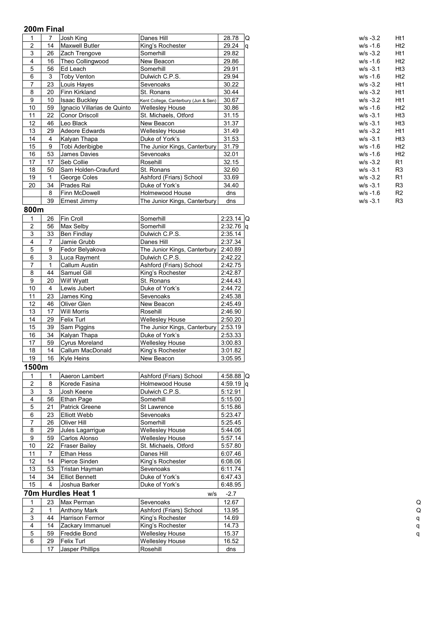|    |    | Josh King                   | Danes Hill                           | 28.78 | Q<br>$W/S -3.2$   | Ht1             |
|----|----|-----------------------------|--------------------------------------|-------|-------------------|-----------------|
| 2  | 14 | <b>Maxwell Butler</b>       | King's Rochester                     | 29.24 | $w/s - 1.6$<br>۱q | H <sub>t2</sub> |
| 3  | 26 | Zach Trengove               | Somerhill                            | 29.82 | $W/S -3.2$        | Ht1             |
| 4  | 16 | Theo Collingwood            | New Beacon                           | 29.86 | $w/s - 1.6$       | Ht2             |
| 5  | 56 | Ed Leach                    | Somerhill                            | 29.91 | $w/s - 3.1$       | Ht3             |
| 6  | 3  | Toby Venton                 | Dulwich C.P.S.                       | 29.94 | $w/s - 1.6$       | H <sub>t2</sub> |
| 7  | 23 | Louis Haves                 | Sevenoaks                            | 30.22 | $W/S -3.2$        | Ht1             |
| 8  | 20 | Finn Kirkland               | St. Ronans                           | 30.44 | $W/S -3.2$        | Ht1             |
| 9  | 10 | <b>Isaac Buckley</b>        | Kent College, Canterbury (Jun & Sen) | 30.67 | $W/S -3.2$        | Ht1             |
| 10 | 59 | Ignacio Villarias de Quinto | <b>Wellesley House</b>               | 30.86 | $w/s - 1.6$       | H <sub>t2</sub> |
| 11 | 22 | <b>Conor Driscoll</b>       | St. Michaels, Otford                 | 31.15 | $w/s - 3.1$       | Ht3             |
| 12 | 46 | Leo Black                   | New Beacon                           | 31.37 | $w/s - 3.1$       | Ht3             |
| 13 | 29 | Adeore Edwards              | <b>Wellesley House</b>               | 31.49 | $W/S -3.2$        | Ht1             |
| 14 | 4  | Kalyan Thapa                | Duke of York's                       | 31.53 | $w/s - 3.1$       | Ht3             |
| 15 | 9  | Tobi Aderibigbe             | The Junior Kings, Canterbury         | 31.79 | $w/s - 1.6$       | H <sub>t2</sub> |
| 16 | 53 | James Davies                | Sevenoaks                            | 32.01 | $w/s - 1.6$       | H <sub>t2</sub> |
| 17 | 17 | Seb Collie                  | Rosehill                             | 32.15 | $W/S -3.2$        | R1              |
| 18 | 50 | Sam Holden-Craufurd         | St. Ronans                           | 32.60 | $w/s - 3.1$       | R <sub>3</sub>  |
| 19 |    | George Coles                | Ashford (Friars) School              | 33.69 | $W/S -3.2$        | R <sub>1</sub>  |
| 20 | 34 | Prades Rai                  | Duke of York's                       | 34.40 | $w/s - 3.1$       | R <sub>3</sub>  |
|    | 8  | Finn McDowell               | <b>Holmewood House</b>               | dns   | $w/s - 1.6$       | R <sub>2</sub>  |
|    | 39 | Ernest Jimmy                | The Junior Kings, Canterbury         | dns   | $W/S -3.1$        | R <sub>3</sub>  |

#### **800m**

|                | 26 | Fin Croll             | Somerhill                    | $2:23.14$ IQ |  |
|----------------|----|-----------------------|------------------------------|--------------|--|
| $\overline{2}$ | 56 | Max Selby             | Somerhill                    | 2:32.76 q    |  |
| 3              | 33 | <b>Ben Findlay</b>    | Dulwich C.P.S.               | 2:35.14      |  |
| 4              | 7  | Jamie Grubb           | Danes Hill                   | 2:37.34      |  |
| 5              | 9  | Fedor Belvakova       | The Junior Kings, Canterbury | 2:40.89      |  |
| 6              | 3  | Luca Rayment          | Dulwich C.P.S.               | 2:42.22      |  |
| 7              |    | <b>Callum Austin</b>  | Ashford (Friars) School      | 2:42.75      |  |
| 8              | 44 | Samuel Gill           | King's Rochester             | 2:42.87      |  |
| 9              | 20 | Wilf Wyatt            | St. Ronans                   | 2:44.43      |  |
| 10             | 4  | Lewis Jubert          | Duke of York's               | 2:44.72      |  |
| 11             | 23 | James King            | Sevenoaks                    | 2:45.38      |  |
| 12             | 46 | Oliver Glen           | New Beacon                   | 2:45.49      |  |
| 13             | 17 | Will Morris           | Rosehill                     | 2:46.90      |  |
| 14             | 29 | <b>Felix Turl</b>     | <b>Wellesley House</b>       | 2:50.20      |  |
| 15             | 39 | Sam Piggins           | The Junior Kings, Canterbury | 2:53.19      |  |
| 16             | 34 | Kalyan Thapa          | Duke of York's               | 2:53.33      |  |
| 17             | 59 | <b>Cyrus Moreland</b> | <b>Wellesley House</b>       | 3:00.83      |  |
| 18             | 14 | Callum MacDonald      | King's Rochester             | 3:01.82      |  |
| 19             | 16 | Kyle Heins            | New Beacon                   | 3:05.95      |  |

# **1500m**

|                |    | Aaeron Lambert        | Ashford (Friars) School | $4:58.88$ Q |
|----------------|----|-----------------------|-------------------------|-------------|
| 2              | 8  | Korede Fasina         | <b>Holmewood House</b>  | $4:59.19$ q |
| 3              | 3  | Josh Keene            | Dulwich C.P.S.          | 5:12.91     |
| 4              | 56 | <b>Ethan Page</b>     | Somerhill               | 5:15.00     |
| 5<br>21        |    | <b>Patrick Greene</b> | St Lawrence             | 5:15.86     |
| 6              | 23 | <b>Elliott Webb</b>   | Sevenoaks               | 5:23.47     |
| 26             |    | Oliver Hill           | Somerhill               | 5:25.45     |
| 8              | 29 | Jules Lagarrigue      | <b>Wellesley House</b>  | 5:44.06     |
| 9              | 59 | Carlos Alonso         | <b>Wellesley House</b>  | 5:57.14     |
| 10             | 22 | <b>Fraser Bailey</b>  | St. Michaels, Otford    | 5:57.80     |
| 11             |    | Ethan Hess            | Danes Hill              | 6:07.46     |
| 12             | 14 | Pierce Sinden         | King's Rochester        | 6:08.06     |
| 13             | 53 | Tristan Hayman        | Sevenoaks               | 6:11.74     |
| 14             | 34 | <b>Elliot Bennett</b> | Duke of York's          | 6:47.43     |
| 15             | 4  | Joshua Barker         | Duke of York's          | 6:48.95     |
|                |    | 70m Hurdles Heat 1    | w/s                     | $-2.7$      |
|                | 23 | Max Perman            | Sevenoaks               | 12.67       |
| $\overline{c}$ |    | Anthony Mark          | Ashford (Friars) School | 13.95       |
| 3              | 44 | Harrison Fermor       | King's Rochester        | 14.69       |
| 4              | 14 | Zackary Immanuel      | King's Rochester        | 14.73       |
| 5              | 59 | <b>Freddie Bond</b>   | <b>Wellesley House</b>  | 15.37       |
| 6              | 29 | <b>Felix Turl</b>     | <b>Wellesley House</b>  | 16.52       |
|                | 17 | Jasper Phillips       | Rosehill                | dns         |
|                |    |                       |                         |             |

| $w/s - 3.2$ | Ht1 |
|-------------|-----|
| w/s -1.6    | Ht2 |
| w/s -3.2    | Ht1 |
| $w/s - 1.6$ | Ht2 |
| $W/S -3.1$  | Ht3 |
| $w/s - 1.6$ | Ht2 |
| $W/S -3.2$  | Ht1 |
| $W/S -3.2$  | Ht1 |
| $W/S -3.2$  | Ht1 |
| w/s -1.6    | Ht2 |
| $W/S -3.1$  | Ht3 |
| $W/S -3.1$  | Ht3 |
| $W/S -3.2$  | Ht1 |
| $w/s - 3.1$ | Ht3 |
| w/s -1.6    | Ht2 |
| w/s -1.6    | Ht2 |
| $W/S - 3.2$ | R1  |
| $W/S -3.1$  | R3  |
| $W/S -3.2$  | R1  |
| $W/S -3.1$  | R3  |
| w/s -1.6    | R2  |
| w/s -3.1    | R3  |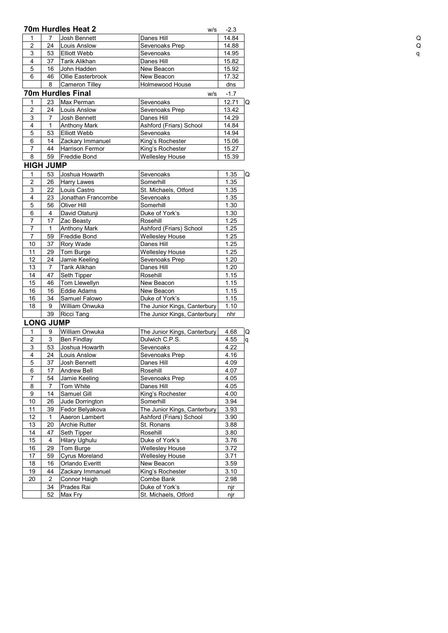|                |                  | 70m Hurdles Heat 2       | W/S                          | $-2.3$            |
|----------------|------------------|--------------------------|------------------------------|-------------------|
| 1              | $\overline{7}$   | Josh Bennett             | Danes Hill                   | 14.84             |
| $\overline{c}$ | 24               | Louis Anslow             | Sevenoaks Prep               | 14.88             |
| 3              | 53               | <b>Elliott Webb</b>      | Sevenoaks                    | 14.95             |
| 4              | 37               | <b>Tarik Alikhan</b>     | Danes Hill                   | 15.82             |
| 5              | 16               | John Hadden              | New Beacon                   | 15.92             |
| 6              | 46               | Ollie Easterbrook        | New Beacon                   | 17.32             |
|                | 8                | Cameron Tilley           | Holmewood House              | dns               |
|                |                  | <b>70m Hurdles Final</b> | w/s                          | $-1.7$            |
| 1              | 23               | Max Perman               | Sevenoaks                    | 12.71             |
| $\overline{c}$ | 24               | Louis Anslow             | Sevenoaks Prep               | 13.42             |
| 3              | 7                | Josh Bennett             | Danes Hill                   | 14.29             |
| 4              | 1                | <b>Anthony Mark</b>      | Ashford (Friars) School      | 14.84             |
| $\overline{5}$ | 53               | <b>Elliott Webb</b>      | Sevenoaks                    | 14.94             |
| $\overline{6}$ | 14               | Zackary Immanuel         | King's Rochester             | 15.06             |
| 7              | 44               | Harrison Fermor          | King's Rochester             | 15.27             |
| 8              | 59               | <b>Freddie Bond</b>      | <b>Wellesley House</b>       | 15.39             |
|                | <b>HIGH JUMP</b> |                          |                              |                   |
| 1              | 53               | Joshua Howarth           | Sevenoaks                    | 1.35              |
| $\overline{c}$ | 26               | <b>Harry Lawes</b>       | Somerhill                    | 1.35              |
| 3              | 22               | Louis Castro             | St. Michaels, Otford         | 1.35              |
| 4              | 23               | Jonathan Francombe       | Sevenoaks                    | 1.35              |
| $\overline{5}$ | 56               | Oliver Hill              | Somerhill                    | 1.30              |
| $\overline{6}$ | $\overline{4}$   | David Olatunji           | Duke of York's               | 1.30              |
| 7              | 17               | Zac Beasty               | Rosehill                     | 1.25              |
| $\overline{7}$ | $\mathbf{1}$     | <b>Anthony Mark</b>      | Ashford (Friars) School      | 1.25              |
| $\overline{7}$ | 59               | Freddie Bond             | Wellesley House              | 1.25              |
| 10             | 37               | Rory Wade                | Danes Hill                   | 1.25              |
| 11             | 29               | Tom Burge                | Wellesley House              | 1.25              |
| 12             | 24               | Jamie Keeling            | Sevenoaks Prep               | 1.20              |
| 13             | $\overline{7}$   | <b>Tarik Alikhan</b>     | Danes Hill                   | 1.20              |
| 14             | 47               | Seth Tipper              | Rosehill                     | 1.15              |
| 15             | 46               | Tom Llewellyn            | New Beacon                   | 1.15              |
| 16             | 16               | <b>Eddie Adams</b>       | New Beacon                   | 1.15              |
| 16             | 34               | Samuel Falowo            | Duke of York's               | 1.15              |
| 18             | 9                | William Onwuka           | The Junior Kings, Canterbury | 1.10              |
|                | 39               | Ricci Tang               | The Junior Kings, Canterbury | nhr               |
|                | <b>LONG JUMP</b> |                          |                              |                   |
| 1              | 9                | William Onwuka           | The Junior Kings, Canterbury | 4.68              |
| $\overline{2}$ | 3                | <b>Ben Findlay</b>       | Dulwich C.P.S.               | $\overline{4.55}$ |
| 3              | 53               | Joshua Howarth           | Sevenoaks                    | 4.22              |
| 4              | 24               | Louis Anslow             | Sevenoaks Prep               | 4.16              |
| 5              | 37               | Josh Bennett             | Danes Hill                   | 4.09              |
| 6              | 17               | Andrew Bell              | Rosehill                     | 4.07              |
| 7              | 54               | Jamie Keeling            | Sevenoaks Prep               | 4.05              |
| 8              | 7                | Tom White                | Danes Hill                   | 4.05              |
| 9              | 14               | Samuel Gill              | King's Rochester             | 4.00              |
| 10             | 26               | Jude Dorrington          | Somerhill                    | 3.94              |
| 11             | 39               | Fedor Belyakova          | The Junior Kings, Canterbury | 3.93              |
| 12             | 1                | Aaeron Lambert           | Ashford (Friars) School      | 3.90              |
| 13             | 20               | <b>Archie Rutter</b>     | St. Ronans                   | 3.88              |
| 14             | 47               | Seth Tipper              | Rosehill                     | 3.80              |
| 15             | 4                | <b>Hilary Ughulu</b>     | Duke of York's               | 3.76              |
| 16             | 29               | Tom Burge                | <b>Wellesley House</b>       | 3.72              |
| 17             | 59               | Cyrus Moreland           | <b>Wellesley House</b>       | 3.71              |
| 18             | 16               | Orlando Everitt          | New Beacon                   | 3.59              |
| 19             | 44               | Zackary Immanuel         | King's Rochester             | 3.10              |
| 20             | $\overline{2}$   | Connor Haigh             | Combe Bank                   | 2.98              |
|                | 34               | Prades Rai               | Duke of York's               | njr               |
|                | 52               | Max Fry                  | St. Michaels, Otford         | njr               |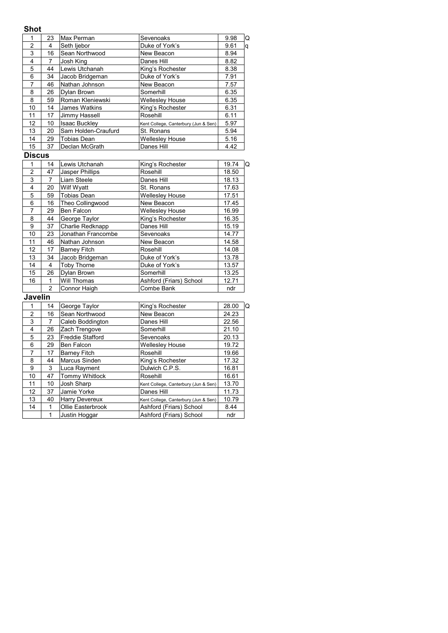# **Shot**

| <b>5</b> 110τ           |                 |                         |                                      |       |   |
|-------------------------|-----------------|-------------------------|--------------------------------------|-------|---|
| 1                       | 23              | Max Perman              | Sevenoaks                            | 9.98  | Q |
| $\overline{\mathbf{c}}$ | $\overline{4}$  | Seth liebor             | Duke of York's                       | 9.61  | q |
| $\overline{3}$          | 16              | Sean Northwood          | New Beacon                           | 8.94  |   |
| 4                       | 7               | Josh King               | Danes Hill                           | 8.82  |   |
| 5                       | 44              | Lewis Utchanah          | King's Rochester                     | 8.38  |   |
| 6                       | 34              | Jacob Bridgeman         | Duke of York's                       | 7.91  |   |
| 7                       | 46              | Nathan Johnson          | New Beacon                           | 7.57  |   |
| $\bf 8$                 | 26              | Dylan Brown             | Somerhill                            | 6.35  |   |
| 8                       | 59              | Roman Kleniewski        | <b>Wellesley House</b>               | 6.35  |   |
| 10                      | 14              | James Watkins           | King's Rochester                     | 6.31  |   |
| 11                      | $\overline{17}$ | Jimmy Hassell           | Rosehill                             | 6.11  |   |
| $\overline{12}$         | 10              | <b>Isaac Buckley</b>    | Kent College, Canterbury (Jun & Sen) | 5.97  |   |
| 13                      | 20              | Sam Holden-Craufurd     | St. Ronans                           | 5.94  |   |
| $\overline{14}$         | 29              | <b>Tobias Dean</b>      | <b>Wellesley House</b>               | 5.16  |   |
| $\overline{15}$         | 37              | Declan McGrath          | Danes Hill                           | 4.42  |   |
| <b>Discus</b>           |                 |                         |                                      |       |   |
| 1                       | 14              | Lewis Utchanah          | King's Rochester                     | 19.74 | Q |
| $\overline{c}$          | 47              | Jasper Phillips         | Rosehill                             | 18.50 |   |
| 3                       | 7               | Liam Steele             | Danes Hill                           | 18.13 |   |
| $\overline{4}$          | 20              | Wilf Wyatt              | St. Ronans                           | 17.63 |   |
| 5                       | 59              | <b>Tobias Dean</b>      | <b>Wellesley House</b>               | 17.51 |   |
| $\overline{6}$          | 16              | Theo Collingwood        | New Beacon                           | 17.45 |   |
| 7                       | 29              | Ben Falcon              | <b>Wellesley House</b>               | 16.99 |   |
| $\overline{8}$          | 44              | George Taylor           | King's Rochester                     | 16.35 |   |
| $\overline{9}$          | 37              | Charlie Redknapp        | Danes Hill                           | 15.19 |   |
| 10                      | 23              | Jonathan Francombe      | Sevenoaks                            | 14.77 |   |
| 11                      | 46              | Nathan Johnson          | New Beacon                           | 14.58 |   |
| 12                      | 17              | <b>Barney Fitch</b>     | Rosehill                             | 14.08 |   |
| 13                      | 34              | Jacob Bridgeman         | Duke of York's                       | 13.78 |   |
| $\overline{14}$         | 4               | Toby Thorne             | Duke of York's                       | 13.57 |   |
| $\overline{15}$         | 26              | Dylan Brown             | Somerhill                            | 13.25 |   |
| 16                      | $\mathbf{1}$    | Will Thomas             | Ashford (Friars) School              | 12.71 |   |
|                         | $\overline{c}$  | Connor Haigh            | Combe Bank                           | ndr   |   |
| Javelin                 |                 |                         |                                      |       |   |
| 1                       | 14              | George Taylor           | King's Rochester                     | 28.00 | Q |
| $\overline{2}$          | 16              | Sean Northwood          | New Beacon                           | 24.23 |   |
| 3                       | $\overline{7}$  | Caleb Boddington        | Danes Hill                           | 22.56 |   |
| 4                       | 26              | Zach Trengove           | Somerhill                            | 21.10 |   |
| 5                       | 23              | <b>Freddie Stafford</b> | Sevenoaks                            | 20.13 |   |
| 6                       | 29              | Ben Falcon              | <b>Wellesley House</b>               | 19.72 |   |
| 7                       | 17              | <b>Barney Fitch</b>     | Rosehill                             | 19.66 |   |
| 8                       | 44              | Marcus Sinden           | King's Rochester                     | 17.32 |   |
| 9                       | 3               | Luca Rayment            | Dulwich C.P.S.                       | 16.81 |   |
| 10                      | 47              | Tommy Whitlock          | Rosehill                             | 16.61 |   |
| 11                      | 10              | Josh Sharp              | Kent College, Canterbury (Jun & Sen) | 13.70 |   |
| 12                      | $\overline{37}$ | Jamie Yorke             | Danes Hill                           | 11.73 |   |
| 13                      | 40              | Harry Devereux          | Kent College, Canterbury (Jun & Sen) | 10.79 |   |
| 14                      | 1               | Ollie Easterbrook       | Ashford (Friars) School              | 8.44  |   |
|                         | $\mathbf{1}$    | Justin Hoggar           | Ashford (Friars) School              | ndr   |   |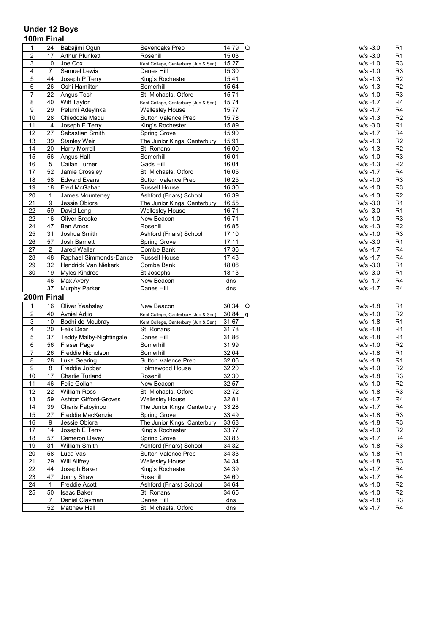# **Under 12 Boys 100m Final**

| 1              | 24             | Babajimi Ogun                          | Sevenoaks Prep                       | 14.79      | $\Omega$ | $W/S -3.0$                 | R <sub>1</sub>                   |
|----------------|----------------|----------------------------------------|--------------------------------------|------------|----------|----------------------------|----------------------------------|
| 2              | 17             | <b>Arthur Plunkett</b>                 | Rosehill                             | 15.03      |          | $W/S -3.0$                 | R <sub>1</sub>                   |
| 3              | 10             | Joe Cox                                | Kent College, Canterbury (Jun & Sen) | 15.27      |          | $W/S - 1.0$                | R <sub>3</sub>                   |
| 4              | 7              | Samuel Lewis                           | Danes Hill                           | 15.30      |          | $W/S - 1.0$                | R <sub>3</sub>                   |
| $\mathbf 5$    | 44             | Joseph P Terry                         | King's Rochester                     | 15.41      |          | $W/S - 1.3$                | R <sub>2</sub>                   |
| 6              | 26             | Oshi Hamilton                          | Somerhill                            | 15.64      |          | $W/S - 1.3$                | R <sub>2</sub>                   |
| 7              | 22             | Angus Tosh                             | St. Michaels, Otford                 | 15.71      |          | $W/S - 1.0$                | R <sub>3</sub>                   |
| 8              | 40             | <b>Wilf Taylor</b>                     | Kent College, Canterbury (Jun & Sen) | 15.74      |          | $W/S -1.7$                 | R <sub>4</sub>                   |
| 9              | 29             | Pelumi Adeyinka                        | Wellesley House                      | 15.77      |          | $w/s - 1.7$                | R <sub>4</sub>                   |
| 10             | 28             | Chiedozie Madu                         | Sutton Valence Prep                  | 15.78      |          | $w/s - 1.3$                | R <sub>2</sub>                   |
| 11             | 14             |                                        | King's Rochester                     | 15.89      |          |                            | R <sub>1</sub>                   |
|                | 27             | Joseph E Terry                         |                                      |            |          | $W/S -3.0$                 |                                  |
| 12             | 39             | Sebastian Smith<br><b>Stanley Weir</b> | Spring Grove                         | 15.90      |          | w/s -1.7                   | R <sub>4</sub>                   |
| 13             |                |                                        | The Junior Kings, Canterbury         | 15.91      |          | $W/S - 1.3$                | R <sub>2</sub>                   |
| 14             | 20             | <b>Harry Morrell</b>                   | St. Ronans                           | 16.00      |          | $W/S - 1.3$                | R <sub>2</sub>                   |
| 15             | 56             | Angus Hall                             | Somerhill                            | 16.01      |          | $W/S - 1.0$                | R <sub>3</sub>                   |
| 16             | 5              | Cailan Turner                          | Gads Hill                            | 16.04      |          | $W/S - 1.3$                | R <sub>2</sub>                   |
| 17             | 52             | Jamie Crossley                         | St. Michaels, Otford                 | 16.05      |          | $w/s - 1.7$                | R <sub>4</sub>                   |
| 18             | 58             | <b>Edward Evans</b>                    | <b>Sutton Valence Prep</b>           | 16.25      |          | $w/s - 1.0$                | R <sub>3</sub>                   |
| 19             | 18             | Fred McGahan                           | Russell House                        | 16.30      |          | $W/S - 1.0$                | R <sub>3</sub>                   |
| 20             | 1              | James Mounteney                        | Ashford (Friars) School              | 16.39      |          | $W/S - 1.3$                | R <sub>2</sub>                   |
| 21             | 9              | Jessie Obiora                          | The Junior Kings, Canterbury         | 16.55      |          | $W/S -3.0$                 | R <sub>1</sub>                   |
| 22             | 59             | David Leng                             | <b>Wellesley House</b>               | 16.71      |          | $W/S -3.0$                 | R <sub>1</sub>                   |
| 22             | 16             | Oliver Brooke                          | New Beacon                           | 16.71      |          | $w/s - 1.0$                | R <sub>3</sub>                   |
| 24             | 47             | Ben Amos                               | Rosehill                             | 16.85      |          | $W/S - 1.3$                | R <sub>2</sub>                   |
| 25             | 31             | Joshua Smith                           | Ashford (Friars) School              | 17.10      |          | $w/s - 1.0$                | R <sub>3</sub>                   |
| 26             | 57             | Josh Barnett                           | Spring Grove                         | 17.11      |          | $W/S -3.0$                 | R <sub>1</sub>                   |
| 27             | $\overline{2}$ | Jared Waller                           | Combe Bank                           | 17.36      |          | $W/S -1.7$                 | R <sub>4</sub>                   |
| 28             | 48             | Raphael Simmonds-Dance                 | Russell House                        | 17.43      |          | w/s -1.7                   | R <sub>4</sub>                   |
| 29             | 32             | Hendrick Van Niekerk                   | Combe Bank                           | 18.06      |          | $w/s - 3.0$                | R <sub>1</sub>                   |
|                |                |                                        | St Josephs                           | 18.13      |          | $W/S -3.0$                 | R <sub>1</sub>                   |
| 30             | 19             | <b>Myles Kindred</b>                   |                                      |            |          |                            |                                  |
|                | 46             | Max Avery                              | New Beacon                           | dns        |          | $w/s - 1.7$                | R <sub>4</sub>                   |
|                | 37             | Murphy Parker                          | Danes Hill                           | dns        |          | $w/s - 1.7$                | R <sub>4</sub>                   |
| 200m Final     |                |                                        |                                      |            |          |                            |                                  |
| 1              | 16             |                                        |                                      |            |          | $w/s - 1.8$                |                                  |
|                |                | <b>Oliver Yeabsley</b>                 | New Beacon                           | 30.34      | Q        |                            | R <sub>1</sub>                   |
| $\overline{c}$ | 40             | Avniel Adjio                           | Kent College, Canterbury (Jun & Sen) | 30.84      | ١q       | $W/S - 1.0$                | R <sub>2</sub>                   |
| 3              | 10             | Bodhi de Moubray                       | Kent College, Canterbury (Jun & Sen) | 31.67      |          | $W/S - 1.8$                | R <sub>1</sub>                   |
| 4              | 20             | Felix Dear                             | St. Ronans                           | 31.78      |          | $W/S - 1.8$                | R <sub>1</sub>                   |
| 5              | 37             | Teddy Malby-Nightingale                | Danes Hill                           | 31.86      |          | $w/s - 1.8$                | R <sub>1</sub>                   |
| 6              | 56             | Fraser Page                            | Somerhill                            | 31.99      |          | $W/S - 1.0$                | R <sub>2</sub>                   |
| 7              | 26             | Freddie Nicholson                      | Somerhill                            | 32.04      |          | $W/S - 1.8$                | R <sub>1</sub>                   |
| 8              | 28             | Luke Gearing                           | <b>Sutton Valence Prep</b>           | 32.06      |          | $W/S - 1.8$                | R <sub>1</sub>                   |
| 9              | 8              | Freddie Jobber                         | Holmewood House                      | 32.20      |          | $W/S - 1.0$                | R <sub>2</sub>                   |
| 10             | 17             | Charlie Turland                        | Rosehill                             | 32.30      |          | $W/S - 1.8$                | R <sub>3</sub>                   |
| 11             | 46             | Felic Gollan                           | New Beacon                           | 32.57      |          | w/s -1.0                   | R <sub>2</sub>                   |
| 12             | 22             | <b>William Ross</b>                    | St. Michaels, Otford                 | 32.72      |          | $w/s - 1.8$                | R <sub>3</sub>                   |
| 13             | 59             | <b>Ashton Gifford-Groves</b>           | <b>Wellesley House</b>               | 32.81      |          | $w/s - 1.7$                | R <sub>4</sub>                   |
| 14             | 39             | Charis Fatoyinbo                       | The Junior Kings, Canterbury         | 33.28      |          | $w/s - 1.7$                | R <sub>4</sub>                   |
| 15             | 27             | Freddie MacKenzie                      | Spring Grove                         | 33.49      |          | $w/s - 1.8$                | R <sub>3</sub>                   |
| 16             | 9              | Jessie Obiora                          | The Junior Kings, Canterbury         | 33.68      |          | $w/s - 1.8$                | R <sub>3</sub>                   |
| 17             | 14             | Joseph E Terry                         | King's Rochester                     | 33.77      |          | $w/s - 1.0$                | R <sub>2</sub>                   |
| 18             | 57             | Cameron Davey                          | Spring Grove                         | 33.83      |          | w/s -1.7                   | R <sub>4</sub>                   |
| 19             | 31             | <b>William Smith</b>                   | Ashford (Friars) School              | 34.32      |          | $w/s - 1.8$                | R <sub>3</sub>                   |
| 20             | 58             | Luca Vas                               | Sutton Valence Prep                  | 34.33      |          | $w/s - 1.8$                | R <sub>1</sub>                   |
| 21             | 29             | Will Allfrey                           | <b>Wellesley House</b>               | 34.34      |          | w/s -1.8                   | R <sub>3</sub>                   |
| 22             | 44             | Joseph Baker                           | King's Rochester                     | 34.39      |          | $w/s - 1.7$                | R <sub>4</sub>                   |
| 23             | 47             | Jonny Shaw                             | Rosehill                             | 34.60      |          | $w/s - 1.7$                | R <sub>4</sub>                   |
| 24             | $\mathbf{1}$   | Freddie Acott                          | Ashford (Friars) School              | 34.64      |          | $w/s - 1.0$                | R <sub>2</sub>                   |
| 25             | 50             | Isaac Baker                            | St. Ronans                           | 34.65      |          | $w/s - 1.0$                | R <sub>2</sub>                   |
|                | 7<br>52        | Daniel Clayman<br><b>Matthew Hall</b>  | Danes Hill<br>St. Michaels, Otford   | dns<br>dns |          | $w/s - 1.8$<br>$W/S - 1.7$ | R <sub>3</sub><br>R <sub>4</sub> |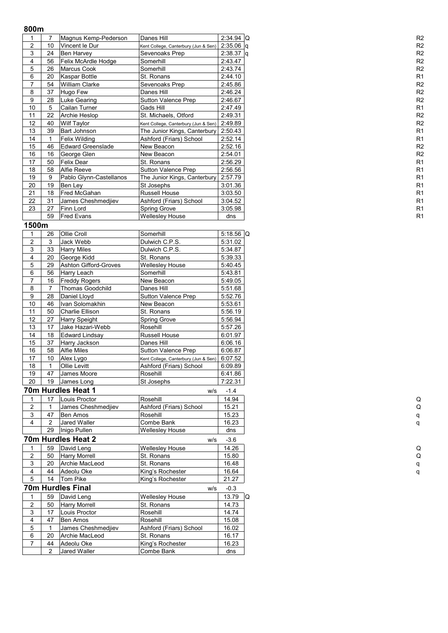# **800m**

|                |    | Magnus Kemp-Pederson    | Danes Hill                           | $2:34.94$ Q | R <sub>2</sub> |
|----------------|----|-------------------------|--------------------------------------|-------------|----------------|
| $\overline{2}$ | 10 | Vincent le Dur          | Kent College, Canterbury (Jun & Sen) | $2:35.06$ a | R <sub>2</sub> |
| 3              | 24 | <b>Ben Harvey</b>       | Sevenoaks Prep                       | $2:38.37$ q | R <sub>2</sub> |
| 4              | 56 | Felix McArdle Hodge     | Somerhill                            | 2:43.47     | R <sub>2</sub> |
| 5              | 26 | <b>Marcus Cook</b>      | Somerhill                            | 2:43.74     | R <sub>2</sub> |
| 6              | 20 | Kaspar Bottle           | St. Ronans                           | 2:44.10     | R <sub>1</sub> |
| 7              | 54 | <b>William Clarke</b>   | Sevenoaks Prep                       | 2:45.86     | R <sub>2</sub> |
| 8              | 37 | Hugo Few                | Danes Hill                           | 2:46.24     | R <sub>2</sub> |
| 9              | 28 | Luke Gearing            | Sutton Valence Prep                  | 2:46.67     | R <sub>2</sub> |
| 10             | 5  | Cailan Turner           | Gads Hill                            | 2:47.49     | R <sub>1</sub> |
| 11             | 22 | Archie Heslop           | St. Michaels, Otford                 | 2:49.31     | R <sub>2</sub> |
| 12             | 40 | Wilf Taylor             | Kent College, Canterbury (Jun & Sen) | 2:49.89     | R <sub>2</sub> |
| 13             | 39 | <b>Bart Johnson</b>     | The Junior Kings, Canterbury         | 2:50.43     | R <sub>1</sub> |
| 14             |    | Felix Wilding           | Ashford (Friars) School              | 2:52.14     | R <sub>1</sub> |
| 15             | 46 | Edward Greenslade       | New Beacon                           | 2:52.16     | R <sub>2</sub> |
| 16             | 16 | George Glen             | New Beacon                           | 2:54.01     | R <sub>2</sub> |
| 17             | 50 | Felix Dear              | St. Ronans                           | 2:56.29     | R <sub>1</sub> |
| 18             | 58 | Alfie Reeve             | Sutton Valence Prep                  | 2:56.56     | R <sub>1</sub> |
| 19             | 9  | Pablo Glynn-Castellanos | The Junior Kings, Canterbury         | 2:57.79     | R <sub>1</sub> |
| 20             | 19 | Ben Lev                 | St Josephs                           | 3:01.36     | R <sub>1</sub> |
| 21             | 18 | Fred McGahan            | <b>Russell House</b>                 | 3:03.50     | R <sub>1</sub> |
| 22             | 31 | James Cheshmedilev      | Ashford (Friars) School              | 3:04.52     | R <sub>1</sub> |
| 23             | 27 | Finn Lord               | Spring Grove                         | 3:05.98     | R <sub>1</sub> |
|                | 59 | <b>Fred Evans</b>       | <b>Wellesley House</b>               | dns         | R <sub>1</sub> |

# **1500m**

| 1                       | 26             | Ollie Croll                                                             | Somerhill                            | 5:18.56 Q |   |
|-------------------------|----------------|-------------------------------------------------------------------------|--------------------------------------|-----------|---|
| $\overline{2}$          | 3              | Jack Webb<br>Dulwich C.P.S.                                             |                                      | 5:31.02   |   |
| 3                       | 33             | <b>Harry Miles</b><br>Dulwich C.P.S.<br>20<br>George Kidd<br>St. Ronans |                                      | 5:34.87   |   |
| 4                       |                |                                                                         |                                      | 5:39.33   |   |
| 5                       | 29             | Ashton Gifford-Groves                                                   | <b>Wellesley House</b>               | 5:40.45   |   |
| $\overline{6}$          | 56             | Harry Leach                                                             | Somerhill                            | 5:43.81   |   |
| $\overline{7}$          | 16             | <b>Freddy Rogers</b>                                                    | New Beacon                           | 5:49.05   |   |
| 8                       | $\overline{7}$ | Thomas Goodchild                                                        | Danes Hill                           | 5:51.68   |   |
| 9                       | 28             | Daniel Lloyd                                                            | Sutton Valence Prep                  | 5:52.76   |   |
| 10                      | 46             | Ivan Solomakhin                                                         | New Beacon                           | 5:53.61   |   |
| 11                      | 50             | Charlie Ellison                                                         | St. Ronans                           | 5:56.19   |   |
| 12                      | 27             | Harry Speight                                                           | Spring Grove                         | 5:56.94   |   |
| 13                      | 17             | Jake Hazari-Webb                                                        | Rosehill                             | 5:57.26   |   |
| 14                      | 18             | <b>Edward Lindsay</b>                                                   | Russell House                        | 6:01.97   |   |
| 15                      | 37             | Harry Jackson                                                           | Danes Hill                           | 6:06.16   |   |
| 16                      | 58             | <b>Alfie Miles</b>                                                      | Sutton Valence Prep                  | 6:06.87   |   |
| 17                      | 10             | Alex Lygo                                                               | Kent College, Canterbury (Jun & Sen) | 6:07.52   |   |
| 18                      | $\mathbf{1}$   | Ollie Levitt                                                            | Ashford (Friars) School              | 6:09.89   |   |
| 19                      | 47             | James Moore                                                             | Rosehill                             | 6:41.86   |   |
| 20                      | 19             | James Long                                                              | St Josephs                           | 7:22.31   |   |
|                         |                | 70m Hurdles Heat 1                                                      | W/S                                  | $-1.4$    |   |
| 1                       | 17             | Louis Proctor                                                           | Rosehill                             | 14.94     |   |
| $\overline{2}$          | $\mathbf{1}$   | James Cheshmedjiev                                                      | Ashford (Friars) School              | 15.21     |   |
| 3                       | 47             | <b>Ben Amos</b>                                                         | Rosehill                             | 15.23     |   |
| 4                       | $\overline{2}$ | <b>Jared Waller</b>                                                     | Combe Bank                           | 16.23     |   |
|                         | 29             | Inigo Pullen                                                            | <b>Wellesley House</b>               | dns       |   |
|                         |                | 70m Hurdles Heat 2                                                      | W/S                                  | $-3.6$    |   |
| 1                       | 59             | David Leng                                                              | <b>Wellesley House</b>               | 14.26     |   |
| $\overline{c}$          | 50             | Harry Morrell                                                           | St. Ronans                           | 15.80     |   |
| 3                       | 20             | Archie MacLeod                                                          | St. Ronans                           | 16.48     |   |
| 4                       | 44             | Adeolu Oke                                                              | King's Rochester                     | 16.64     |   |
| 5                       | 14             | <b>Tom Pike</b>                                                         | King's Rochester                     | 21.27     |   |
|                         |                | 70m Hurdles Final                                                       | W/S                                  | $-0.3$    |   |
| 1                       | 59             | David Leng                                                              | <b>Wellesley House</b>               | 13.79     | Q |
| $\overline{\mathbf{c}}$ | 50             | Harry Morrell                                                           | St. Ronans                           | 14.73     |   |
| 3                       | 17             | Louis Proctor                                                           | Rosehill                             | 14.74     |   |
| 4                       | 47             | <b>Ben Amos</b>                                                         | Rosehill                             | 15.08     |   |
| 5                       | $\mathbf{1}$   | James Cheshmedjiev                                                      | Ashford (Friars) School              | 16.02     |   |
| 6                       | 20             | Archie MacLeod                                                          | St. Ronans                           | 16.17     |   |
| 7                       | 44             | Adeolu Oke                                                              | King's Rochester                     | 16.23     |   |
|                         | $\overline{2}$ | <b>Jared Waller</b>                                                     | Combe Bank                           | dns       |   |
|                         |                |                                                                         |                                      |           |   |

q

Q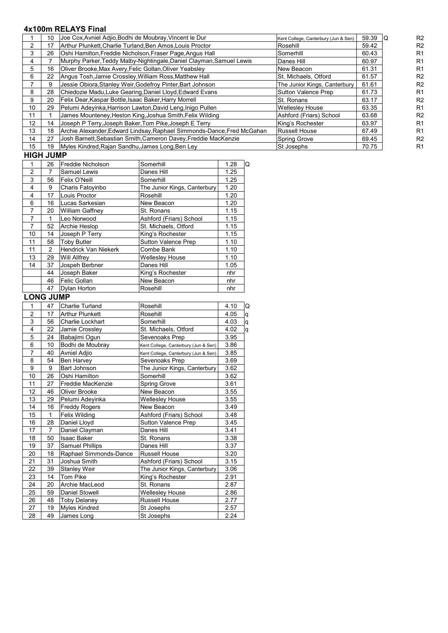# **4x100m RELAYS Final**

| 10 | Joe Cox, Avniel Adjio, Bodhi de Moubray, Vincent le Dur         | Kent College, Canterbury (Jun & Sen)                                                                                                                                                                                                                                                                                                                                                                                                                                                                                                                                      | 59.39 | R <sub>2</sub> |
|----|-----------------------------------------------------------------|---------------------------------------------------------------------------------------------------------------------------------------------------------------------------------------------------------------------------------------------------------------------------------------------------------------------------------------------------------------------------------------------------------------------------------------------------------------------------------------------------------------------------------------------------------------------------|-------|----------------|
| 17 |                                                                 | Rosehill                                                                                                                                                                                                                                                                                                                                                                                                                                                                                                                                                                  | 59.42 | R <sub>2</sub> |
| 26 |                                                                 | Somerhill                                                                                                                                                                                                                                                                                                                                                                                                                                                                                                                                                                 | 60.43 | R <sub>1</sub> |
|    |                                                                 | Danes Hill                                                                                                                                                                                                                                                                                                                                                                                                                                                                                                                                                                | 60.97 | R <sub>1</sub> |
| 16 | Oliver Brooke, Max Avery, Felic Gollan, Oliver Yeabsley         | New Beacon                                                                                                                                                                                                                                                                                                                                                                                                                                                                                                                                                                | 61.31 | R <sub>1</sub> |
| 22 |                                                                 | St. Michaels, Otford                                                                                                                                                                                                                                                                                                                                                                                                                                                                                                                                                      | 61.57 | R <sub>2</sub> |
| 9  | Jessie Obiora, Stanley Weir, Godefroy Pinter, Bart Johnson      | The Junior Kings, Canterbury                                                                                                                                                                                                                                                                                                                                                                                                                                                                                                                                              | 61.61 | R <sub>2</sub> |
| 28 |                                                                 | Sutton Valence Prep                                                                                                                                                                                                                                                                                                                                                                                                                                                                                                                                                       | 61.73 | R <sub>1</sub> |
| 20 |                                                                 | St. Ronans                                                                                                                                                                                                                                                                                                                                                                                                                                                                                                                                                                | 63.17 | R <sub>2</sub> |
| 29 |                                                                 | <b>Wellesley House</b>                                                                                                                                                                                                                                                                                                                                                                                                                                                                                                                                                    | 63.35 | R <sub>1</sub> |
|    | James Mounteney, Heston King, Joshua Smith, Felix Wilding       | Ashford (Friars) School                                                                                                                                                                                                                                                                                                                                                                                                                                                                                                                                                   | 63.68 | R <sub>2</sub> |
| 14 | Joseph P Terry, Joseph Baker, Tom Pike, Joseph E Terry          | King's Rochester                                                                                                                                                                                                                                                                                                                                                                                                                                                                                                                                                          | 63.97 | R <sub>1</sub> |
| 18 |                                                                 | <b>Russell House</b>                                                                                                                                                                                                                                                                                                                                                                                                                                                                                                                                                      | 67.49 | R <sub>1</sub> |
| 27 | Josh Barnett, Sebastian Smith, Cameron Davey, Freddie MacKenzie | Spring Grove                                                                                                                                                                                                                                                                                                                                                                                                                                                                                                                                                              | 69.45 | R <sub>2</sub> |
| 19 |                                                                 | St Josephs                                                                                                                                                                                                                                                                                                                                                                                                                                                                                                                                                                | 70.75 | R <sub>1</sub> |
|    |                                                                 | Arthur Plunkett, Charlie Turland, Ben Amos, Louis Proctor<br>Oshi Hamilton, Freddie Nicholson, Fraser Page, Angus Hall<br>Murphy Parker, Teddy Malby-Nightingale, Daniel Clayman, Samuel Lewis<br>Angus Tosh, Jamie Crossley, William Ross, Matthew Hall<br>Chiedozie Madu, Luke Gearing, Daniel Lloyd, Edward Evans<br>Felix Dear, Kaspar Bottle, Isaac Baker, Harry Morrell<br>Pelumi Adeyinka, Harrison Lawton, David Leng, Inigo Pullen<br>Archie Alexander, Edward Lindsay, Raphael Simmonds-Dance, Fred McGahan<br>Myles Kindred, Rajan Sandhu, James Long, Ben Ley |       |                |

# **HIGH JUMP**

|                | 26            | Freddie Nicholson           | Somerhill                    | 1.28<br>Q |
|----------------|---------------|-----------------------------|------------------------------|-----------|
| $\overline{2}$ | 7             | Samuel Lewis                | Danes Hill                   | 1.25      |
| 3              | 56            | Felix O'Neill               | Somerhill                    | 1.25      |
| 4              | 9             | Charis Fatovinbo            | The Junior Kings, Canterbury | 1.20      |
| 4              | 17            | Louis Proctor               | Rosehill                     | 1.20      |
| 6              | 16            | Lucas Sarkesian             | New Beacon                   | 1.20      |
| 7              | 20            | <b>William Gaffney</b>      | St. Ronans                   | 1.15      |
| $\overline{7}$ | 1             | Leo Norwood                 | Ashford (Friars) School      | 1.15      |
| 7              | 52            | Archie Heslop               | St. Michaels, Otford         | 1.15      |
| 10             | 14            | Joseph P Terry              | King's Rochester             | 1.15      |
| 11             | 58            | <b>Toby Butler</b>          | Sutton Valence Prep          | 1.10      |
| 11             | $\mathcal{P}$ | <b>Hendrick Van Niekerk</b> | Combe Bank                   | 1.10      |
| 13             | 29            | <b>Will Allfrey</b>         | <b>Wellesley House</b>       | 1.10      |
| 14             | 37            | Jospeh Berbner              | Danes Hill                   | 1.05      |
|                | 44            | Joseph Baker                | King's Rochester             | nhr       |
|                | 46            | Felic Gollan                | New Beacon                   | nhr       |
|                | 47            | Dylan Horton                | Rosehill                     | nhr       |

# LONG JUMP

| 1              | 47             | Charlie Turland        | Rosehill                             | 4.10 | Q |
|----------------|----------------|------------------------|--------------------------------------|------|---|
| $\overline{2}$ | 17             | <b>Arthur Plunkett</b> | Rosehill                             | 4.05 | q |
| $\overline{3}$ | 56             | Charlie Lockhart       | Somerhill                            | 4.03 | q |
| 4              | 22             | Jamie Crossley         | St. Michaels, Otford                 | 4.02 | q |
| 5              | 24             | Babajimi Ogun          | Sevenoaks Prep                       | 3.95 |   |
| 6              | 10             | Bodhi de Moubray       | Kent College, Canterbury (Jun & Sen) | 3.86 |   |
| 7              | 40             | Avniel Adjio           | Kent College, Canterbury (Jun & Sen) | 3.85 |   |
| 8              | 54             | Ben Harvey             | Sevenoaks Prep                       | 3.69 |   |
| 9              | 9              | Bart Johnson           | The Junior Kings, Canterbury         | 3.62 |   |
| 10             | 26             | Oshi Hamilton          | Somerhill                            | 3.62 |   |
| 11             | 27             | Freddie MacKenzie      | Spring Grove                         | 3.61 |   |
| 12             | 46             | Oliver Brooke          | New Beacon                           | 3.55 |   |
| 13             | 29             | Pelumi Adeyinka        | Wellesley House                      | 3.55 |   |
| 14             | 16             | <b>Freddy Rogers</b>   | New Beacon                           | 3.49 |   |
| 15             | 1              | Felix Wilding          | Ashford (Friars) School              | 3.48 |   |
| 16             | 28             | Daniel Lloyd           | <b>Sutton Valence Prep</b>           | 3.45 |   |
| 17             | $\overline{7}$ | Daniel Clayman         | Danes Hill                           | 3.41 |   |
| 18             | 50             | <b>Isaac Baker</b>     | St. Ronans                           | 3.38 |   |
| 19             | 37             | <b>Samuel Phillips</b> | Danes Hill                           | 3.37 |   |
| 20             | 18             | Raphael Simmonds-Dance | <b>Russell House</b>                 | 3.20 |   |
| 21             | 31             | Joshua Smith           | Ashford (Friars) School              | 3.15 |   |
| 22             | 39             | <b>Stanley Weir</b>    | The Junior Kings, Canterbury         | 3.06 |   |
| 23             | 14             | Tom Pike               | King's Rochester                     | 2.91 |   |
| 24             | 20             | Archie MacLeod         | St. Ronans                           | 2.87 |   |
| 25             | 59             | <b>Daniel Stowell</b>  | <b>Wellesley House</b>               | 2.86 |   |
| 26             | 48             | Toby Delaney           | <b>Russell House</b>                 | 2.77 |   |
| 27             | 19             | <b>Myles Kindred</b>   | St Josephs                           | 2.57 |   |
| 28             | 49             | James Long             | St Josephs                           | 2.24 |   |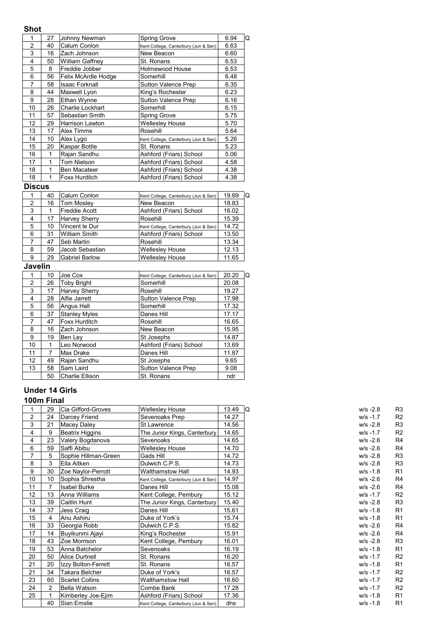## **Shot**

|    | 27 | Johnny Newman          | <b>Spring Grove</b>                  | 6.94<br>Q |
|----|----|------------------------|--------------------------------------|-----------|
| 2  | 40 | Calum Conlon           | Kent College, Canterbury (Jun & Sen) | 6.63      |
| 3  | 16 | Zach Johnson           | New Beacon                           | 6.60      |
| 4  | 50 | <b>William Gaffney</b> | St. Ronans                           | 6.53      |
| 5  | 8  | Freddie Jobber         | Holmewood House                      | 6.53      |
| 6  | 56 | Felix McArdle Hodge    | Somerhill                            | 6.48      |
| 7  | 58 | Isaac Forknall         | <b>Sutton Valence Prep</b>           | 6.35      |
| 8  | 44 | Maxwell Lyon           | King's Rochester                     | 6.23      |
| 9  | 28 | Ethan Wynne            | <b>Sutton Valence Prep</b>           | 6.16      |
| 10 | 26 | Charlie Lockhart       | Somerhill                            | 6.15      |
| 11 | 57 | Sebastian Smith        | Spring Grove                         | 5.75      |
| 12 | 29 | Harrison Lawton        | <b>Wellesley House</b>               | 5.70      |
| 13 | 17 | Alex Timms             | Rosehill                             | 5.64      |
| 14 | 10 | Alex Lygo              | Kent College, Canterbury (Jun & Sen) | 5.26      |
| 15 | 20 | Kaspar Bottle          | St. Ronans                           | 5.23      |
| 16 | 1  | Rajan Sandhu           | Ashford (Friars) School              | 5.06      |
| 17 | 1  | Tom Nielson            | Ashford (Friars) School              | 4.58      |
| 18 | 1  | Ben Macateer           | Ashford (Friars) School              | 4.38      |
| 18 |    | Foxx Hurditch          | Ashford (Friars) School              | 4.38      |

## **Discus**

|                | 40 | Calum Conlon          | Kent College, Canterbury (Jun & Sen) | 19.69<br>O |
|----------------|----|-----------------------|--------------------------------------|------------|
| 2              | 16 | <b>Tom Mosley</b>     | New Beacon                           | 18.83      |
| 3              |    | <b>Freddie Acott</b>  | Ashford (Friars) School              | 16.02      |
| $\overline{4}$ | 17 | <b>Harvey Sherry</b>  | Rosehill                             | 15.39      |
| 5              | 10 | Vincent le Dur        | Kent College, Canterbury (Jun & Sen) | 14.72      |
| 6              | 31 | <b>William Smith</b>  | Ashford (Friars) School              | 13.50      |
|                | 47 | Seb Martin            | Rosehill                             | 13.34      |
| 8              | 59 | Jacob Sebastian       | <b>Wellesley House</b>               | 12.13      |
| 9              | 29 | <b>Gabriel Barlow</b> | <b>Wellesley House</b>               | 11.65      |

## **Javelin**

|    | 10 | Joe Cox                | Kent College, Canterbury (Jun & Sen) | 20.20<br>Q |
|----|----|------------------------|--------------------------------------|------------|
| 2  | 26 | <b>Toby Bright</b>     | Somerhill                            | 20.08      |
| 3  | 17 | Harvey Sherry          | Rosehill                             | 19.27      |
| 4  | 28 | Alfie Jarrett          | Sutton Valence Prep                  | 17.98      |
| 5  | 56 | Angus Hall             | Somerhill                            | 17.32      |
| 6  | 37 | <b>Stanley Myles</b>   | Danes Hill                           | 17.17      |
| 7  | 47 | Foxx Hurditch          | Rosehill                             | 16.65      |
| 8  | 16 | Zach Johnson           | New Beacon                           | 15.95      |
| 9  | 19 | Ben Lev                | St Josephs                           | 14.87      |
| 10 |    | Leo Norwood            | Ashford (Friars) School              | 13.69      |
| 11 | 7  | Max Drake              | Danes Hill                           | 11.87      |
| 12 | 49 | Rajan Sandhu           | St Josephs                           | 9.65       |
| 13 | 58 | Sam Laird              | <b>Sutton Valence Prep</b>           | 9.08       |
|    | 50 | <b>Charlie Ellison</b> | St. Ronans                           | ndr        |

# **Under 14 Girls**

|    | 29             | Cia Gifford-Groves     | <b>Wellesley House</b>               | 13.49 | IQ<br>$W/S - 2.8$ | R3             |
|----|----------------|------------------------|--------------------------------------|-------|-------------------|----------------|
| 2  | 24             | Darcey Friend          | Sevenoaks Prep                       | 14.27 | $w/s - 1.7$       | R <sub>2</sub> |
| 3  | 21             | Macev Dalev            | St Lawrence                          | 14.56 | $W/S -2.8$        | R3             |
| 4  | 9              | <b>Beatrix Higgins</b> | The Junior Kings, Canterbury         | 14.65 | $w/s - 1.7$       | R <sub>2</sub> |
| 4  | 23             | Valery Bogdanova       | Sevenoaks                            | 14.65 | $W/S - 2.6$       | R <sub>4</sub> |
| 6  | 59             | Saffi Abibu            | <b>Wellesley House</b>               | 14.70 | $w/s - 2.6$       | R <sub>4</sub> |
|    | 5              | Sophie Hillman-Green   | Gads Hill                            | 14.72 | $W/S - 2.8$       | R3             |
| 8  | 3              | Ella Aitken            | Dulwich C.P.S.                       | 14.73 | $w/s - 2.8$       | R3             |
| 9  | 30             | Zoe Naylor-Perrott     | <b>Walthamstow Hall</b>              | 14.93 | $w/s - 1.8$       | R <sub>1</sub> |
| 10 | 10             | Sophia Shrestha        | Kent College, Canterbury (Jun & Sen) | 14.97 | $W/S -2.6$        | R <sub>4</sub> |
| 11 | 7              | <b>Isabel Burke</b>    | Danes Hill                           | 15.08 | $W/S - 2.6$       | R <sub>4</sub> |
| 12 | 13             | Anna Williams          | Kent College, Pembury                | 15.12 | $w/s - 1.7$       | R <sub>2</sub> |
| 13 | 39             | Caitlin Hunt           | The Junior Kings, Canterbury         | 15.40 | $W/S -2.8$        | R3             |
| 14 | 37             | Jess Craig             | Danes Hill                           | 15.61 | $w/s - 1.8$       | R <sub>1</sub> |
| 15 | 4              | Anu Ashiru             | Duke of York's                       | 15.74 | $w/s - 1.8$       | R <sub>1</sub> |
| 16 | 33             | Georgia Robb           | Dulwich C.P.S.                       | 15.82 | $W/S - 2.6$       | R <sub>4</sub> |
| 17 | 14             | Buyikunmi Ajayi        | King's Rochester                     | 15.91 | $w/s - 2.6$       | R <sub>4</sub> |
| 18 | 43             | Zoe Morrison           | Kent College, Pembury                | 16.01 | $W/S - 2.8$       | R3             |
| 19 | 53             | Anna Batchelor         | Sevenoaks                            | 16.19 | $w/s - 1.8$       | R <sub>1</sub> |
| 20 | 50             | Alice Durtnell         | St. Ronans                           | 16.20 | $w/s - 1.7$       | R <sub>2</sub> |
| 21 | 20             | Izzy Bolton-Ferrett    | St. Ronans                           | 16.57 | $W/S - 1.8$       | R <sub>1</sub> |
| 21 | 34             | Takara Belcher         | Duke of York's                       | 16.57 | $w/s - 1.7$       | R <sub>2</sub> |
| 23 | 60             | <b>Scarlet Collins</b> | <b>Walthamstow Hall</b>              | 16.60 | $w/s - 1.7$       | R <sub>2</sub> |
| 24 | $\overline{2}$ | <b>Bella Watson</b>    | Combe Bank                           | 17.28 | $W/S -1.7$        | R <sub>2</sub> |
| 25 |                | Kimberley Joe-Ejim     | Ashford (Friars) School              | 17.36 | $w/s - 1.8$       | R <sub>1</sub> |
|    | 40             | Sian Emslie            | Kent College, Canterbury (Jun & Sen) | dns   | $w/s - 1.8$       | R <sub>1</sub> |

| w/s -2.8 | R3             |
|----------|----------------|
| w/s -1.7 | R2             |
| w/s -2.8 | R3             |
| w/s -1.7 | R2             |
| w/s -2.6 | R4             |
| w/s -2.6 | R4             |
| w/s -2.8 | R3             |
| w/s -2.8 | R3             |
| w/s -1.8 | R1             |
| w/s -2.6 | R4             |
| w/s -2.6 | R4             |
| w/s -1.7 | R2             |
| w/s -2.8 | R3             |
| w/s -1.8 | R1             |
| w/s -1.8 | R1             |
| w/s -2.6 | R4             |
| w/s -2.6 | R4             |
| w/s -2.8 | R3             |
| w/s -1.8 | R1             |
| w/s -1.7 | R2             |
| w/s -1.8 | R1             |
| w/s -1.7 | R2             |
| w/s -1.7 | R <sub>2</sub> |
| w/s -1.7 | R2             |
| w/s -1.8 | R1             |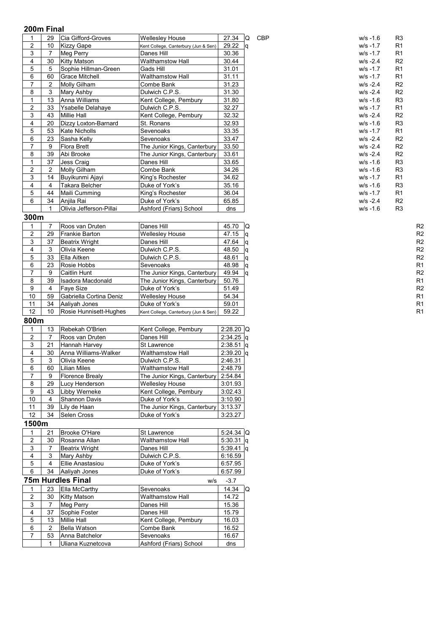| 1                       | 29                             | Cia Gifford-Groves       | <b>Wellesley House</b>               | 27.34       | Q   | CBP | $w/s - 1.6$ | R <sub>3</sub> |                |
|-------------------------|--------------------------------|--------------------------|--------------------------------------|-------------|-----|-----|-------------|----------------|----------------|
| 2                       | 10                             | <b>Kizzy Gape</b>        | Kent College, Canterbury (Jun & Sen) | 29.22       | ١q  |     | $W/S -1.7$  | R <sub>1</sub> |                |
| 3                       | $\overline{7}$                 | Meg Perry                | Danes Hill                           | 30.36       |     |     | $W/S -1.7$  | R <sub>1</sub> |                |
| 4                       | 30                             | <b>Kitty Matson</b>      | <b>Walthamstow Hall</b>              | 30.44       |     |     | $W/S - 2.4$ | R <sub>2</sub> |                |
| 5                       | 5                              | Sophie Hillman-Green     | Gads Hill                            | 31.01       |     |     | $w/s - 1.7$ | R <sub>1</sub> |                |
| 6                       | 60                             | <b>Grace Mitchell</b>    | Walthamstow Hall                     | 31.11       |     |     | $W/S -1.7$  | R <sub>1</sub> |                |
| 7                       | 2                              | Molly Gilham             | Combe Bank                           | 31.23       |     |     | $w/s - 2.4$ | R <sub>2</sub> |                |
| 8                       | 3                              |                          | Dulwich C.P.S.                       | 31.30       |     |     | $w/s - 2.4$ | R <sub>2</sub> |                |
|                         | 13                             | Mary Ashby               |                                      |             |     |     |             |                |                |
| 1                       |                                | Anna Williams            | Kent College, Pembury                | 31.80       |     |     | $W/S - 1.6$ | R <sub>3</sub> |                |
| $\overline{c}$          | 33                             | Ysabelle Delahaye        | Dulwich C.P.S.                       | 32.27       |     |     | $W/S -1.7$  | R <sub>1</sub> |                |
| 3                       | 43                             | <b>Millie Hall</b>       | Kent College, Pembury                | 32.32       |     |     | $W/S - 2.4$ | R <sub>2</sub> |                |
| 4                       | 20                             | Dizzy Loxton-Barnard     | St. Ronans                           | 32.93       |     |     | $w/s - 1.6$ | R <sub>3</sub> |                |
| 5                       | 53                             | Kate Nicholls            | Sevenoaks                            | 33.35       |     |     | $W/S -1.7$  | R <sub>1</sub> |                |
| 6                       | 23                             | Sasha Kelly              | Sevenoaks                            | 33.47       |     |     | $w/s - 2.4$ | R <sub>2</sub> |                |
| $\overline{7}$          | 9                              | <b>Flora Brett</b>       | The Junior Kings, Canterbury         | 33.50       |     |     | $W/S - 2.4$ | R <sub>2</sub> |                |
| 8                       | 39                             | Abi Brooke               | The Junior Kings, Canterbury         | 33.61       |     |     | $W/S - 2.4$ | R <sub>2</sub> |                |
| 1                       | 37                             | Jess Craig               | Danes Hill                           | 33.65       |     |     | $W/S - 1.6$ | R <sub>3</sub> |                |
| 2                       | $\overline{c}$                 | Molly Gilham             | Combe Bank                           | 34.26       |     |     | w/s -1.6    | R <sub>3</sub> |                |
| 3                       | 14                             | Buyikunmi Ajayi          | King's Rochester                     | 34.62       |     |     | $W/S -1.7$  | R1             |                |
| 4                       | $\overline{4}$                 | Takara Belcher           | Duke of York's                       | 35.16       |     |     | $W/S - 1.6$ | R <sub>3</sub> |                |
| 5                       | 44                             | Maili Cumming            | King's Rochester                     | 36.04       |     |     | $W/S -1.7$  | R1             |                |
| 6                       | 34                             | Anjila Rai               | Duke of York's                       | 65.85       |     |     | $w/s - 2.4$ | R <sub>2</sub> |                |
|                         |                                | Olivia Jefferson-Pillai  | Ashford (Friars) School              | dns         |     |     | $w/s - 1.6$ | R <sub>3</sub> |                |
| 300m                    |                                |                          |                                      |             |     |     |             |                |                |
| 1                       | $\overline{7}$                 | Roos van Druten          | Danes Hill                           | 45.70       | IQ. |     |             |                | R <sub>2</sub> |
| $\overline{c}$          | 29                             | <b>Frankie Barton</b>    | <b>Wellesley House</b>               | 47.15       | ١q  |     |             |                | R <sub>2</sub> |
| 3                       | 37                             | Beatrix Wright           | Danes Hill                           | 47.64       | q   |     |             |                | R <sub>2</sub> |
| 4                       | 3                              | Olivia Keene             | Dulwich C.P.S.                       | 48.50       | lq  |     |             |                | R <sub>2</sub> |
| 5                       | 33                             | Ella Aitken              | Dulwich C.P.S.                       | 48.61       | q   |     |             |                | R <sub>2</sub> |
| 6                       | 23                             | Rosie Hobbs              | Sevenoaks                            | 48.98       |     |     |             |                | R <sub>1</sub> |
| 7                       | 9                              | <b>Caitlin Hunt</b>      | The Junior Kings, Canterbury         | 49.94       | l q |     |             |                | R <sub>2</sub> |
| 8                       | 39                             |                          |                                      |             | ١q  |     |             |                | R <sub>1</sub> |
| 9                       | $\overline{4}$                 | <b>Isadora Macdonald</b> | The Junior Kings, Canterbury         | 50.76       |     |     |             |                |                |
|                         |                                | <b>Faye Size</b>         | Duke of York's                       | 51.49       |     |     |             |                | R <sub>2</sub> |
| 10                      | 59                             | Gabriella Cortina Deniz  | <b>Wellesley House</b>               | 54.34       |     |     |             |                | R <sub>1</sub> |
| 11                      | 34                             | Aaliyah Jones            | Duke of York's                       | 59.01       |     |     |             |                | R <sub>1</sub> |
| 12                      | 10                             | Rosie Hunnisett-Hughes   | Kent College, Canterbury (Jun & Sen) | 59.22       |     |     |             |                | R <sub>1</sub> |
| 800m                    |                                |                          |                                      |             |     |     |             |                |                |
| 1                       | 13                             | Rebekah O'Brien          | Kent College, Pembury                | $2:28.20$ Q |     |     |             |                |                |
| 2                       | 7                              | Roos van Druten          | Danes Hill                           | $2:34.25$ q |     |     |             |                |                |
| 3                       | 21                             | Hannah Harvey            | St Lawrence                          | $2:38.51$ q |     |     |             |                |                |
| 4                       | 30                             | Anna Williams-Walker     | <b>Walthamstow Hall</b>              | $2:39.20$ q |     |     |             |                |                |
| 5                       | 3                              | Olivia Keene             | Dulwich C.P.S.                       | 2:46.31     |     |     |             |                |                |
| 6                       | 60                             | Lilian Miles             | Walthamstow Hall                     | 2:48.79     |     |     |             |                |                |
| 7                       | 9                              | <b>Florence Brealy</b>   | The Junior Kings, Canterbury         | 2:54.84     |     |     |             |                |                |
| 8                       | 29                             | Lucy Henderson           | <b>Wellesley House</b>               | 3:01.93     |     |     |             |                |                |
| 9                       | 43                             | Libby Werneke            | Kent College, Pembury                | 3:02.43     |     |     |             |                |                |
| 10                      | 4                              | Shannon Davis            | Duke of York's                       | 3:10.90     |     |     |             |                |                |
| 11                      | 39                             | Lily de Haan             | The Junior Kings, Canterbury         | 3:13.37     |     |     |             |                |                |
| 12                      | 34                             | Selen Cross              | Duke of York's                       | 3:23.27     |     |     |             |                |                |
| 1500m                   |                                |                          |                                      |             |     |     |             |                |                |
| 1                       | 21                             | Brooke O'Hare            | St Lawrence                          | $5:24.34$ Q |     |     |             |                |                |
|                         | 30                             | Rosanna Allan            | Walthamstow Hall                     | $5:30.31$ q |     |     |             |                |                |
| 2                       |                                |                          |                                      |             |     |     |             |                |                |
| 3                       | $\overline{7}$<br>$\mathbf{3}$ | <b>Beatrix Wright</b>    | Danes Hill                           | $5:39.41$ q |     |     |             |                |                |
| 4                       |                                | Mary Ashby               | Dulwich C.P.S.                       | 6:16.59     |     |     |             |                |                |
| 5                       | $\overline{4}$                 | Ellie Anastasiou         | Duke of York's                       | 6:57.95     |     |     |             |                |                |
| 6                       | 34                             | Aaliyah Jones            | Duke of York's                       | 6:57.99     |     |     |             |                |                |
|                         |                                | <b>75m Hurdles Final</b> | w/s                                  | $-3.7$      |     |     |             |                |                |
| 1                       | 23                             | Ella McCarthy            | Sevenoaks                            | 14.34       | Q   |     |             |                |                |
| $\overline{\mathbf{c}}$ | 30                             | <b>Kitty Matson</b>      | Walthamstow Hall                     | 14.72       |     |     |             |                |                |
| 3                       | $\overline{7}$                 | <b>Meg Perry</b>         | Danes Hill                           | 15.36       |     |     |             |                |                |
| 4                       | 37                             | Sophie Foster            | Danes Hill                           | 15.79       |     |     |             |                |                |
| 5                       | 13                             | <b>Millie Hall</b>       | Kent College, Pembury                | 16.03       |     |     |             |                |                |
| 6                       | $\overline{2}$                 | Bella Watson             | Combe Bank                           | 16.52       |     |     |             |                |                |
| $\overline{7}$          | 53                             | Anna Batchelor           | Sevenoaks                            | 16.67       |     |     |             |                |                |
|                         |                                | Uliana Kuznetcova        | Ashford (Friars) School              | dns         |     |     |             |                |                |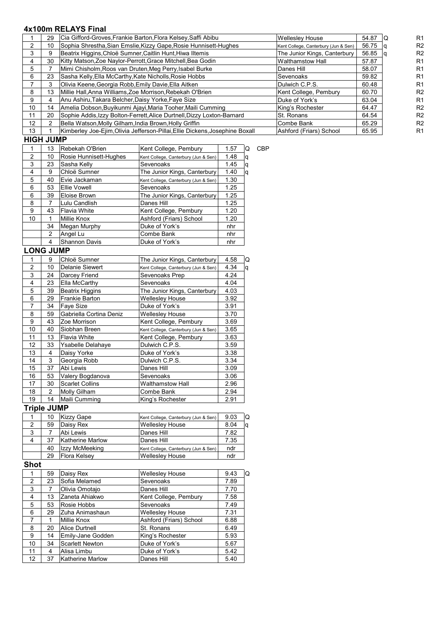# **4x100m RELAYS Final**

| <b>UICU IIIMD</b> |    |                                                                              |                                      |       |    |                |
|-------------------|----|------------------------------------------------------------------------------|--------------------------------------|-------|----|----------------|
| 13                |    | Kimberley Joe-Ejim, Olivia Jefferson-Pillai, Ellie Dickens, Josephine Boxall | Ashford (Friars) School              | 65.95 |    | R <sub>1</sub> |
| 12                |    | Bella Watson, Molly Gilham, India Brown, Holly Griffin                       | Combe Bank                           | 65.29 |    | R <sub>2</sub> |
| 11                | 20 | Sophie Addis, Izzy Bolton-Ferrett, Alice Durtnell, Dizzy Loxton-Barnard      | St. Ronans                           | 64.54 |    | R <sub>2</sub> |
| 10                | 14 | Amelia Dobson, Buyikunmi Ajayi, Maria Tooher, Maili Cumming                  | King's Rochester                     | 64.47 |    | R <sub>2</sub> |
| 9                 |    | Anu Ashiru, Takara Belcher, Daisy Yorke, Faye Size                           | Duke of York's                       | 63.04 |    | R <sub>1</sub> |
|                   | 13 | Millie Hall, Anna Williams, Zoe Morrison, Rebekah O'Brien                    | Kent College, Pembury                | 60.70 |    | R <sub>2</sub> |
|                   |    | Olivia Keene Georgia Robb Emily Davie Ella Aitken                            | Dulwich C.P.S.                       | 60.48 |    | R <sub>1</sub> |
| 6                 | 23 | Sasha Kelly, Ella McCarthy, Kate Nicholls, Rosie Hobbs                       | Sevenoaks                            | 59.82 |    | R <sub>1</sub> |
| 5                 |    | Mimi Chisholm, Roos van Druten, Meg Perry, Isabel Burke                      | Danes Hill                           | 58.07 |    | R <sub>1</sub> |
|                   | 30 | Kitty Matson, Zoe Naylor-Perrott, Grace Mitchell, Bea Godin                  | Walthamstow Hall                     | 57.87 |    | R <sub>1</sub> |
|                   |    | Beatrix Higgins, Chloë Sumner, Caitlin Hunt, Hiwa Iltemis                    | The Junior Kings, Canterbury         | 56.85 |    | R <sub>2</sub> |
|                   | 10 | Sophia Shrestha, Sian Emslie, Kizzy Gape, Rosie Hunnisett-Hughes             | Kent College, Canterbury (Jun & Sen) | 56.75 |    | R <sub>2</sub> |
|                   | 29 | Cia Gifford-Groves Frankie Barton Flora Kelsey Saffi Abibu                   | <b>Wellesley House</b>               | 54.87 | IQ | R1             |

**HIGH JUMP**

|               | 13            | Rebekah O'Brien        | Kent College, Pembury                | 1.57 | Q  | CBP |
|---------------|---------------|------------------------|--------------------------------------|------|----|-----|
| $\mathcal{P}$ | 10            | Rosie Hunnisett-Hughes | Kent College, Canterbury (Jun & Sen) | 1.48 | q  |     |
| 3             | 23            | Sasha Kelly            | Sevenoaks                            | 1.45 | q  |     |
| 4             | 9             | Chloë Sumner           | The Junior Kings, Canterbury         | 1.40 | ۱q |     |
| 5             | 40            | Evie Jackaman          | Kent College, Canterbury (Jun & Sen) | 1.30 |    |     |
| 6             | 53            | Ellie Vowell           | Sevenoaks                            | 1.25 |    |     |
| 6             | 39            | Eloise Brown           | The Junior Kings, Canterbury         | 1.25 |    |     |
| 8             | 7             | Lulu Candlish          | Danes Hill                           | 1.25 |    |     |
| 9             | 43            | Flavia White           | Kent College, Pembury                | 1.20 |    |     |
| 10            | 1             | Millie Knox            | Ashford (Friars) School              | 1.20 |    |     |
|               | 34            | Megan Murphy           | Duke of York's                       | nhr  |    |     |
|               | $\mathcal{P}$ | Angel Lu               | Combe Bank                           | nhr  |    |     |
|               | 4             | <b>Shannon Davis</b>   | Duke of York's                       | nhr  |    |     |
| <u>הוח ו</u>  |               | <b>ILIMD</b>           |                                      |      |    |     |

#### **LONG JUMP**

|                | 9  | Chloë Sumner            | The Junior Kings, Canterbury         | 4.58 | Q |
|----------------|----|-------------------------|--------------------------------------|------|---|
| $\overline{2}$ | 10 | Delanie Siewert         | Kent College, Canterbury (Jun & Sen) | 4.34 | q |
| 3              | 24 | Darcey Friend           | Sevenoaks Prep                       | 4.24 |   |
| 4              | 23 | Ella McCarthy           | Sevenoaks                            | 4.04 |   |
| 5              | 39 | <b>Beatrix Higgins</b>  | The Junior Kings, Canterbury         | 4.03 |   |
| 6              | 29 | <b>Frankie Barton</b>   | <b>Wellesley House</b>               | 3.92 |   |
| 7              | 34 | Faye Size               | Duke of York's                       | 3.91 |   |
| 8              | 59 | Gabriella Cortina Deniz | <b>Wellesley House</b>               | 3.70 |   |
| 9              | 43 | Zoe Morrison            | Kent College, Pembury                | 3.69 |   |
| 10             | 40 | Siobhan Breen           | Kent College, Canterbury (Jun & Sen) | 3.65 |   |
| 11             | 13 | <b>Flavia White</b>     | Kent College, Pembury                | 3.63 |   |
| 12             | 33 | Ysabelle Delahaye       | Dulwich C.P.S.                       | 3.59 |   |
| 13             | 4  | Daisy Yorke             | Duke of York's                       | 3.38 |   |
| 14             | 3  | Georgia Robb            | Dulwich C.P.S.                       | 3.34 |   |
| 15             | 37 | Abi Lewis               | Danes Hill                           | 3.09 |   |
| 16             | 53 | Valery Bogdanova        | Sevenoaks                            | 3.06 |   |
| 17             | 30 | <b>Scarlet Collins</b>  | Walthamstow Hall                     | 2.96 |   |
| 18             | 2  | Molly Gilham            | Combe Bank                           | 2.94 |   |
| 19             | 14 | Maili Cumming           | King's Rochester                     | 2.91 |   |

# **Triple JUMP**

|   | 10 | <b>Kizzy Gape</b> | Kent College, Canterbury (Jun & Sen) | 9.03 | O |
|---|----|-------------------|--------------------------------------|------|---|
|   | 59 | Daisy Rex         | <b>Wellesley House</b>               | 8.04 | q |
| 3 |    | Abi Lewis         | Danes Hill                           | 7.82 |   |
|   | 37 | Katherine Marlow  | Danes Hill                           | 7.35 |   |
|   | 40 | Izzy McMeeking    | Kent College, Canterbury (Jun & Sen) | ndr  |   |
|   | 29 | Flora Kelsev      | <b>Wellesley House</b>               | ndr  |   |

# **Shot**

|                 | 59 | Daisy Rex         | <b>Wellesley House</b>  | Q<br>9.43 |
|-----------------|----|-------------------|-------------------------|-----------|
| $\mathcal{P}$   | 23 | Sofia Melamed     | Sevenoaks               | 7.89      |
| 3               | 7  | Olivia Omotajo    | Danes Hill              | 7.70      |
| 4               | 13 | Zaneta Ahiakwo    | Kent College, Pembury   | 7.58      |
| 5               | 53 | Rosie Hobbs       | Sevenoaks               | 7.49      |
| 6               | 29 | Zuha Animashaun   | <b>Wellesley House</b>  | 7.31      |
| 7               |    | Millie Knox       | Ashford (Friars) School | 6.88      |
| 8               | 20 | Alice Durtnell    | St. Ronans              | 6.49      |
| 9               | 14 | Emily-Jane Godden | King's Rochester        | 5.93      |
| 10              | 34 | Scarlett Newton   | Duke of York's          | 5.67      |
| 11              | 4  | Alisa Limbu       | Duke of York's          | 5.42      |
| 12 <sup>2</sup> | 37 | Katherine Marlow  | Danes Hill              | 5.40      |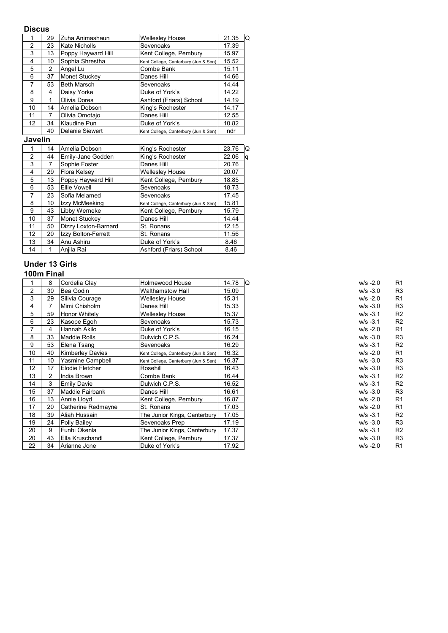## **Discus**

|               | 29 | Zuha Animashaun    | <b>Wellesley House</b>               | 21.35<br>Q |
|---------------|----|--------------------|--------------------------------------|------------|
| $\mathcal{P}$ | 23 | Kate Nicholls      | Sevenoaks                            | 17.39      |
| 3             | 13 | Poppy Hayward Hill | Kent College, Pembury                | 15.97      |
| 4             | 10 | Sophia Shrestha    | Kent College, Canterbury (Jun & Sen) | 15.52      |
| 5             | 2  | Angel Lu           | Combe Bank                           | 15.11      |
| 6             | 37 | Monet Stuckey      | Danes Hill                           | 14.66      |
| 7             | 53 | <b>Beth Marsch</b> | Sevenoaks                            | 14.44      |
| 8             | 4  | Daisy Yorke        | Duke of York's                       | 14.22      |
| 9             |    | Olivia Dores       | Ashford (Friars) School              | 14.19      |
| 10            | 14 | Amelia Dobson      | King's Rochester                     | 14.17      |
| 11            | 7  | Olivia Omotajo     | Danes Hill                           | 12.55      |
| 12            | 34 | Klaudine Pun       | Duke of York's                       | 10.82      |
|               | 40 | Delanie Siewert    | Kent College, Canterbury (Jun & Sen) | ndr        |

# **Javelin**

|    | 14 | Amelia Dobson        | King's Rochester                     | 23.76 | Q  |
|----|----|----------------------|--------------------------------------|-------|----|
| 2  | 44 | Emily-Jane Godden    | King's Rochester                     | 22.06 | ۱q |
| 3  |    | Sophie Foster        | Danes Hill                           | 20.76 |    |
| 4  | 29 | Flora Kelsey         | <b>Wellesley House</b>               | 20.07 |    |
| 5  | 13 | Poppy Hayward Hill   | Kent College, Pembury                | 18.85 |    |
| 6  | 53 | Ellie Vowell         | Sevenoaks                            | 18.73 |    |
| 7  | 23 | Sofia Melamed        | Sevenoaks                            | 17.45 |    |
| 8  | 10 | Izzy McMeeking       | Kent College, Canterbury (Jun & Sen) | 15.81 |    |
| 9  | 43 | Libby Werneke        | Kent College, Pembury                | 15.79 |    |
| 10 | 37 | Monet Stuckey        | Danes Hill                           | 14.44 |    |
| 11 | 50 | Dizzy Loxton-Barnard | St. Ronans                           | 12.15 |    |
| 12 | 20 | Izzy Bolton-Ferrett  | St. Ronans                           | 11.56 |    |
| 13 | 34 | Anu Ashiru           | Duke of York's                       | 8.46  |    |
| 14 |    | Anjila Rai           | Ashford (Friars) School              | 8.46  |    |

# **Under 13 Girls**

|                 | 8  | Cordelia Clay           | Holmewood House                      | 14.78 | IQ<br>$w/s - 2.0$ | R <sub>1</sub> |
|-----------------|----|-------------------------|--------------------------------------|-------|-------------------|----------------|
| 2               | 30 | Bea Godin               | <b>Walthamstow Hall</b>              | 15.09 | $w/s -3.0$        | R3             |
| 3               | 29 | Silivia Courage         | <b>Wellesley House</b>               | 15.31 | $w/s - 2.0$       | R <sub>1</sub> |
| 4               | 7  | Mimi Chisholm           | Danes Hill                           | 15.33 | $w/s -3.0$        | R3             |
| 5               | 59 | Honor Whitely           | <b>Wellesley House</b>               | 15.37 | $W/S -3.1$        | R <sub>2</sub> |
| 6               | 23 | Kasope Egoh             | Sevenoaks                            | 15.73 | $w/s - 3.1$       | R <sub>2</sub> |
| 7               | 4  | Hannah Akilo            | Duke of York's                       | 16.15 | $w/s - 2.0$       | R <sub>1</sub> |
| 8               | 33 | Maddie Rolls            | Dulwich C.P.S.                       | 16.24 | $w/s -3.0$        | R3             |
| 9               | 53 | Elena Tsang             | Sevenoaks                            | 16.29 | $w/s - 3.1$       | R <sub>2</sub> |
| 10              | 40 | <b>Kimberley Davies</b> | Kent College, Canterbury (Jun & Sen) | 16.32 | $w/s - 2.0$       | R <sub>1</sub> |
| 11              | 10 | Yasmine Campbell        | Kent College, Canterbury (Jun & Sen) | 16.37 | $w/s -3.0$        | R3             |
| 12 <sup>2</sup> | 17 | Elodie Fletcher         | Rosehill                             | 16.43 | $W/S -3.0$        | R3             |
| 13              | 2  | India Brown             | Combe Bank                           | 16.44 | $w/s - 3.1$       |                |
| 14              | 3  | <b>Emily Davie</b>      | Dulwich C.P.S.                       | 16.52 | $w/s - 3.1$       |                |
| 15              | 37 | Maddie Fairbank         | Danes Hill                           | 16.61 | $w/s -3.0$        |                |
| 16              | 13 | Annie Lloyd             | Kent College, Pembury                | 16.87 | $w/s - 2.0$       |                |
| 17              | 20 | Catherine Redmayne      | St. Ronans                           | 17.03 | $w/s - 2.0$       | R <sub>1</sub> |
| 18              | 39 | Aliah Hussain           | The Junior Kings, Canterbury         | 17.05 | $w/s - 3.1$       | R <sub>2</sub> |
| 19              | 24 | Polly Bailey            | Sevenoaks Prep                       | 17.19 | $W/S -3.0$        |                |
| 20              | 9  | Funbi Okenla            | The Junior Kings, Canterbury         | 17.37 | $w/s - 3.1$       | R <sub>2</sub> |
| 20              | 43 | Ella Kruschandl         | Kent College, Pembury                | 17.37 | $w/s -3.0$        | R3             |
| 22              | 34 | Arianne Jone            | Duke of York's                       | 17.92 | $w/s - 2.0$       |                |

| w/s -2.0    | R1 |
|-------------|----|
| w/s -3.0    | R3 |
| w/s -2.0    | R1 |
| w/s -3.0    | R3 |
| w/s -3.1    | R2 |
| w/s -3.1    | R2 |
| w/s -2.0    | R1 |
| w/s -3.0    | R3 |
| w/s -3.1    | R2 |
| w/s -2.0    | R1 |
| w/s -3.0    | R3 |
| w/s -3.0    | R3 |
| w/s -3.1    | R2 |
| w/s -3.1    | R2 |
| w/s -3.0    | R3 |
| w/s -2.0    | R1 |
| w/s -2.0    | R1 |
| $w/s - 3.1$ | R2 |
| w/s -3.0    | R3 |
| w/s -3.1    | R2 |
| w/s -3.0    | R3 |
| w/s -2.0    | R1 |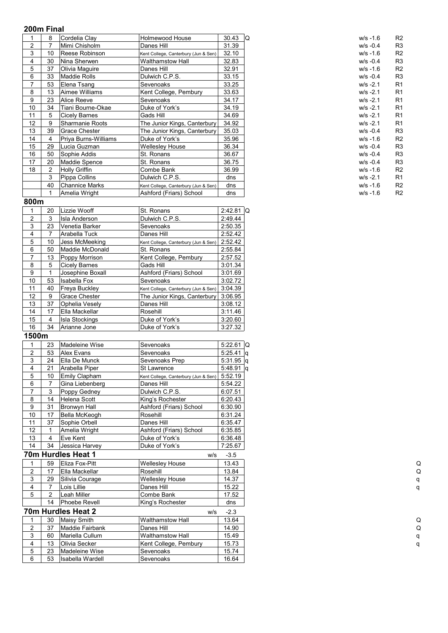| 1              | 8              | Cordelia Clay         | Holmewood House                      | 30.43       | IQ | $W/S - 1.6$ | R <sub>2</sub> |
|----------------|----------------|-----------------------|--------------------------------------|-------------|----|-------------|----------------|
| $\overline{c}$ | 7              | Mimi Chisholm         | Danes Hill                           | 31.39       |    | $w/s -0.4$  | R3             |
| 3              | 10             | Reese Robinson        | Kent College, Canterbury (Jun & Sen) | 32.10       |    | $w/s - 1.6$ | R <sub>2</sub> |
| 4              | 30             | Nina Sherwen          | <b>Walthamstow Hall</b>              | 32.83       |    | $w/s -0.4$  | R3             |
| 5              | 37             | Olivia Maguire        | Danes Hill                           | 32.91       |    | $W/S - 1.6$ | R <sub>2</sub> |
| 6              | 33             | Maddie Rolls          | Dulwich C.P.S.                       | 33.15       |    | $w/s -0.4$  | R3             |
| 7              | 53             | Elena Tsang           | Sevenoaks                            | 33.25       |    | $w/s - 2.1$ | R <sub>1</sub> |
| 8              | 13             | Aimee Williams        | Kent College, Pembury                | 33.63       |    | $w/s - 2.1$ | R <sub>1</sub> |
| 9              | 23             | <b>Alice Reeve</b>    | Sevenoaks                            | 34.17       |    | $w/s - 2.1$ | R <sub>1</sub> |
| 10             | 34             | Tiani Bourne-Okae     | Duke of York's                       | 34.19       |    | $w/s - 2.1$ | R <sub>1</sub> |
| 11             | 5              | <b>Cicely Barnes</b>  | Gads Hill                            | 34.69       |    | $w/s - 2.1$ | R <sub>1</sub> |
| 12             | 9              | Sharmanie Roots       | The Junior Kings, Canterbury         | 34.92       |    | $w/s - 2.1$ | R <sub>1</sub> |
| 13             | 39             | <b>Grace Chester</b>  | The Junior Kings, Canterbury         | 35.03       |    | $w/s -0.4$  | R3             |
| 14             | 4              | Priya Burns-Williams  | Duke of York's                       | 35.96       |    | $w/s - 1.6$ | R <sub>2</sub> |
| 15             | 29             | Lucia Guzman          | <b>Wellesley House</b>               | 36.34       |    | $W/S -0.4$  | R3             |
| 16             | 50             | Sophie Addis          | St. Ronans                           | 36.67       |    | $w/s -0.4$  | R3             |
| 17             | 20             | Maddie Spence         | St. Ronans                           | 36.75       |    | $W/S -0.4$  | R3             |
| 18             | 2              | <b>Holly Griffin</b>  | Combe Bank                           | 36.99       |    | $w/s - 1.6$ | R <sub>2</sub> |
|                | 3              | Pippa Collins         | Dulwich C.P.S.                       | dns         |    | $w/s - 2.1$ | R <sub>1</sub> |
|                | 40             | <b>Channice Marks</b> | Kent College, Canterbury (Jun & Sen) | dns         |    | $w/s - 1.6$ | R <sub>2</sub> |
|                | $\mathbf{1}$   | Amelia Wright         | Ashford (Friars) School              | dns         |    | $W/S - 1.6$ | R <sub>2</sub> |
| 800m           |                |                       |                                      |             |    |             |                |
| 1              | 20             | Lizzie Wooff          | St. Ronans                           | $2:42.81$ Q |    |             |                |
| $\overline{2}$ | 3              | Isla Anderson         | Dulwich C.P.S.                       | 2:49.44     |    |             |                |
| 3              | 23             | Venetia Barker        | Sevenoaks                            | 2:50.35     |    |             |                |
| 4              | $\overline{7}$ | Arabella Tuck         | Danes Hill                           | 2:52.42     |    |             |                |
| 5              | 10             | Jess McMeeking        | Kent College, Canterbury (Jun & Sen) | 2:52.42     |    |             |                |
| 6              | 50             | Maddie McDonald       | St. Ronans                           | 2:55.84     |    |             |                |
| $\overline{7}$ | 13             | Poppy Morrison        | Kent College, Pembury                | 2:57.52     |    |             |                |
| 8              | 5              | <b>Cicely Barnes</b>  | Gads Hill                            | 3:01.34     |    |             |                |
| 9              | 1              | Josephine Boxall      | Ashford (Friars) School              | 3:01.69     |    |             |                |
| 10             | 53             | Isabella Fox          | Sevenoaks                            | 3:02.72     |    |             |                |
| 11             | 40             | Freya Buckley         | Kent College, Canterbury (Jun & Sen) | 3:04.39     |    |             |                |
| 12             | 9              | Grace Chester         | The Junior Kings, Canterbury         | 3:06.95     |    |             |                |
| 13             | 37             | Ophelia Vesely        | Danes Hill                           | 3:08.12     |    |             |                |
| 14             | 17             | Ella Mackellar        | Rosehill                             | 3:11.46     |    |             |                |
| 15             | 4              | Isla Stockings        | Duke of York's                       | 3:20.60     |    |             |                |
| 16             | 34             | Arianne Jone          | Duke of York's                       | 3:27.32     |    |             |                |
| 1500m          |                |                       |                                      |             |    |             |                |
|                |                |                       |                                      |             |    |             |                |

|                | 23 | Madeleine Wise       | Sevenoaks                            | $5:22.61$ Q |
|----------------|----|----------------------|--------------------------------------|-------------|
| $\overline{2}$ | 53 | <b>Alex Evans</b>    | Sevenoaks                            | 5:25.41 $q$ |
| 3              | 24 | Ella De Munck        | Sevenoaks Prep                       | $5:31.95$ q |
| 4              | 21 | Arabella Piper       | St Lawrence                          | $5:48.91$ q |
| 5              | 10 | Emily Clapham        | Kent College, Canterbury (Jun & Sen) | 5:52.19     |
| 6              |    | Gina Liebenberg      | Danes Hill                           | 5:54.22     |
| 7              | 3  | Poppy Gedney         | Dulwich C.P.S.                       | 6:07.51     |
| 8              | 14 | <b>Helena Scott</b>  | King's Rochester                     | 6:20.43     |
| 9              | 31 | Bronwyn Hall         | Ashford (Friars) School              | 6:30.90     |
| 10             | 17 | Bella McKeogh        | Rosehill                             | 6:31.24     |
| 11             | 37 | Sophie Orbell        | Danes Hill                           | 6:35.47     |
| 12             | 1  | Amelia Wright        | Ashford (Friars) School              | 6:35.85     |
| 13             | 4  | Eve Kent             | Duke of York's                       | 6:36.48     |
| 14             | 34 | Jessica Harvey       | Duke of York's                       | 7:25.67     |
|                |    | 70m Hurdles Heat 1   | W/S                                  | $-3.5$      |
|                | 59 | Eliza Fox-Pitt       | <b>Wellesley House</b>               | 13.43       |
| $\overline{2}$ | 17 | Ella Mackellar       | Rosehill                             | 13.84       |
| 3              | 29 | Silivia Courage      | <b>Wellesley House</b>               | 14.37       |
| 4              | 7  | Lois Lillie          | Danes Hill                           | 15.22       |
| 5              | 2  | Leah Miller          | Combe Bank                           | 17.52       |
|                | 14 | <b>Phoebe Revell</b> | King's Rochester                     | dns         |
|                |    | 70m Hurdles Heat 2   | W/S                                  | $-2.3$      |
|                | 30 | <b>Maisy Smith</b>   | <b>Walthamstow Hall</b>              | 13.64       |
| 2              | 37 | Maddie Fairbank      | Danes Hill                           | 14.90       |
| 3              | 60 | Mariella Cullum      | <b>Walthamstow Hall</b>              | 15.49       |
| 4              | 13 | Olivia Secker        | Kent College, Pembury                | 15.73       |
| 5              | 23 | Madeleine Wise       | Sevenoaks                            | 15.74       |
| 6              | 53 | Isabella Wardell     | Sevenoaks                            | 16.64       |
|                |    |                      |                                      |             |

| w/s -1.6 | R2             |
|----------|----------------|
| w/s -0.4 | R3             |
| w/s -1.6 | R2             |
| w/s -0.4 | R3             |
| w/s -1.6 | R2             |
| w/s -0.4 | R3             |
| w/s -2.1 | R1             |
| w/s -2.1 | R1             |
| w/s -2.1 | R1             |
| w/s -2.1 | R1             |
| w/s -2.1 | R1             |
| w/s -2.1 | R1             |
| w/s -0.4 | R3             |
| w/s -1.6 | R2             |
| w/s -0.4 | R3             |
| w/s -0.4 | R3             |
| w/s -0.4 | R3             |
| w/s -1.6 | R2             |
| w/s -2.1 | R1             |
| w/s -1.6 | R2             |
| w/s -1.6 | R <sub>2</sub> |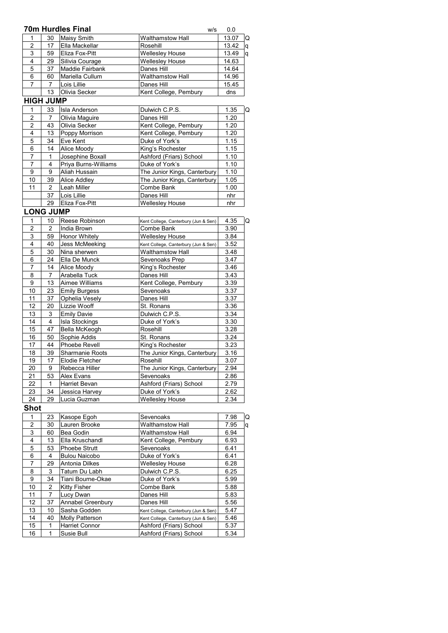|                |                  | <b>70m Hurdles Final</b> |                         | W/S | 0.0   |    |
|----------------|------------------|--------------------------|-------------------------|-----|-------|----|
|                | 30               | <b>Maisy Smith</b>       | <b>Walthamstow Hall</b> |     | 13.07 | ١Q |
| $\mathfrak{p}$ | 17               | Ella Mackellar           | Rosehill                |     | 13.42 | q  |
| 3              | 59               | Eliza Fox-Pitt           | <b>Wellesley House</b>  |     | 13.49 | ۱q |
| 4              | 29               | Silivia Courage          | <b>Wellesley House</b>  |     | 14.63 |    |
| 5              | 37               | Maddie Fairbank          | Danes Hill              |     | 14.64 |    |
| 6              | 60               | Mariella Cullum          | <b>Walthamstow Hall</b> |     | 14.96 |    |
| 7              | 7                | Lois Lillie              | Danes Hill              |     | 15.45 |    |
|                | 13               | Olivia Secker            | Kent College, Pembury   |     | dns   |    |
|                | <b>HIGH JUMP</b> |                          |                         |     |       |    |
|                | 33               | <b>Isla Anderson</b>     | Dulwich C.P.S.          |     | 1.35  | ١Q |
| $\mathfrak{p}$ | 7                | Olivia Maguire           | Danes Hill              |     | 1.20  |    |
| 2              | 43               | Olivia Secker            | Kent College, Pembury   |     | 1.20  |    |
| 4              | 13               | Poppy Morrison           | Kent College, Pembury   |     | 1.20  |    |

| . . |    | ייסטיייטיי נשקט יו   |                              |      |
|-----|----|----------------------|------------------------------|------|
| 5   | 34 | Eve Kent             | Duke of York's               | 1.15 |
| 6   | 14 | Alice Moody          | King's Rochester             | 1.15 |
|     |    | Josephine Boxall     | Ashford (Friars) School      | 1.10 |
|     |    | Priya Burns-Williams | Duke of York's               | 1.10 |
| 9   | 9  | Aliah Hussain        | The Junior Kings, Canterbury | 1.10 |
| 10  | 39 | <b>Alice Addley</b>  | The Junior Kings, Canterbury | 1.05 |
| 11  | 2  | Leah Miller          | Combe Bank                   | 1.00 |
|     | 37 | Lois Lillie          | Danes Hill                   | nhr  |
|     | 29 | Eliza Fox-Pitt       | <b>Wellesley House</b>       | nhr  |

# **LONG JUMP**

| 1              | 10             | Reese Robinson         | Kent College, Canterbury (Jun & Sen) | 4.35<br>Q |
|----------------|----------------|------------------------|--------------------------------------|-----------|
| $\overline{c}$ | $\overline{2}$ | India Brown            | Combe Bank                           | 3.90      |
| 3              | 59             | Honor Whitely          | Wellesley House                      | 3.84      |
| 4              | 40             | Jess McMeeking         | Kent College, Canterbury (Jun & Sen) | 3.52      |
| 5              | 30             | Nina sherwen           | Walthamstow Hall                     | 3.48      |
| 6              | 24             | Ella De Munck          | Sevenoaks Prep                       | 3.47      |
| 7              | 14             | Alice Moody            | King's Rochester                     | 3.46      |
| 8              | $\overline{7}$ | Arabella Tuck          | Danes Hill                           | 3.43      |
| 9              | 13             | Aimee Williams         | Kent College, Pembury                | 3.39      |
| 10             | 23             | Emily Burgess          | Sevenoaks                            | 3.37      |
| 11             | 37             | Ophelia Vesely         | Danes Hill                           | 3.37      |
| 12             | 20             | Lizzie Wooff           | St. Ronans                           | 3.36      |
| 13             | 3              | <b>Emily Davie</b>     | Dulwich C.P.S.                       | 3.34      |
| 14             | 4              | <b>Isla Stockings</b>  | Duke of York's                       | 3.30      |
| 15             | 47             | Bella McKeogh          | Rosehill                             | 3.28      |
| 16             | 50             | Sophie Addis           | St. Ronans                           | 3.24      |
| 17             | 44             | Phoebe Revell          | King's Rochester                     | 3.23      |
| 18             | 39             | <b>Sharmanie Roots</b> | The Junior Kings, Canterbury         | 3.16      |
| 19             | 17             | Elodie Fletcher        | Rosehill                             | 3.07      |
| 20             | 9              | Rebecca Hiller         | The Junior Kings, Canterbury         | 2.94      |
| 21             | 53             | Alex Evans             | Sevenoaks                            | 2.86      |
| 22             | 1              | Harriet Bevan          | Ashford (Friars) School              | 2.79      |
| 23             | 34             | Jessica Harvey         | Duke of York's                       | 2.62      |
| 24             | 29             | Lucia Guzman           | Wellesley House                      | 2.34      |
|                |                |                        |                                      |           |

## **Shot**

|                | 23 | Kasope Egoh            | Sevenoaks                            | 7.98 | Q |
|----------------|----|------------------------|--------------------------------------|------|---|
| $\overline{2}$ | 30 | Lauren Brooke          | <b>Walthamstow Hall</b>              | 7.95 | q |
| 3              | 60 | Bea Godin              | <b>Walthamstow Hall</b>              | 6.94 |   |
| 4              | 13 | Ella Kruschandl        | Kent College, Pembury                | 6.93 |   |
| 5              | 53 | <b>Phoebe Strutt</b>   | Sevenoaks                            | 6.41 |   |
| 6              | 4  | <b>Bulou Naicobo</b>   | Duke of York's                       | 6.41 |   |
| 7              | 29 | Antonia Dilkes         | <b>Wellesley House</b>               | 6.28 |   |
| 8              | 3  | Tatum Du Labh          | Dulwich C.P.S.                       | 6.25 |   |
| 9              | 34 | Tiani Bourne-Okae      | Duke of York's                       | 5.99 |   |
| 10             | 2  | Kitty Fisher           | Combe Bank                           | 5.88 |   |
| 11             |    | Lucy Dwan              | Danes Hill                           | 5.83 |   |
| 12             | 37 | Annabel Greenbury      | Danes Hill                           | 5.56 |   |
| 13             | 10 | Sasha Godden           | Kent College, Canterbury (Jun & Sen) | 5.47 |   |
| 14             | 40 | <b>Molly Patterson</b> | Kent College, Canterbury (Jun & Sen) | 5.46 |   |
| 15             | 1  | <b>Harriet Connor</b>  | Ashford (Friars) School              | 5.37 |   |
| 16             | 1  | Susie Bull             | Ashford (Friars) School              | 5.34 |   |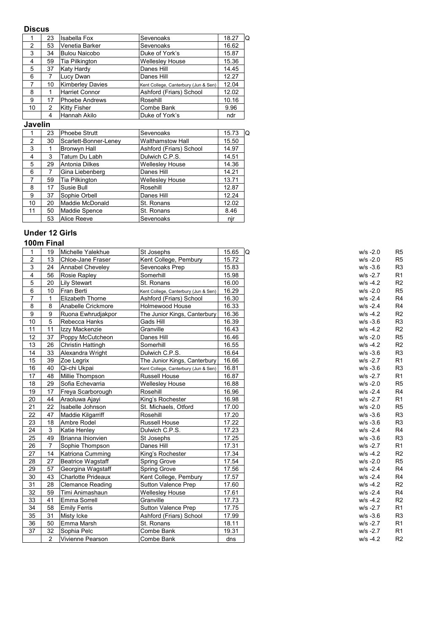# **Discus**

|                | 23 | Isabella Fox            | Sevenoaks                            | 18.27<br>١Q |
|----------------|----|-------------------------|--------------------------------------|-------------|
| 2              | 53 | Venetia Barker          | Sevenoaks                            | 16.62       |
| 3              | 34 | <b>Bulou Naicobo</b>    | Duke of York's                       | 15.87       |
| $\overline{4}$ | 59 | Tia Pilkington          | <b>Wellesley House</b>               | 15.36       |
| 5              | 37 | Katy Hardy              | Danes Hill                           | 14.45       |
| 6              |    | Lucy Dwan               | Danes Hill                           | 12.27       |
| 7              | 10 | <b>Kimberley Davies</b> | Kent College, Canterbury (Jun & Sen) | 12.04       |
| 8              |    | Harriet Connor          | Ashford (Friars) School              | 12.02       |
| 9              | 17 | Phoebe Andrews          | Rosehill                             | 10.16       |
| 10             | 2  | <b>Kitty Fisher</b>     | Combe Bank                           | 9.96        |
|                | 4  | Hannah Akilo            | Duke of York's                       | ndr         |

# **Javelin**

|                | 23 | <b>Phoebe Strutt</b>  | Sevenoaks               | 15.73<br>Q |
|----------------|----|-----------------------|-------------------------|------------|
| $\mathfrak{p}$ | 30 | Scarlett-Bonner-Lenev | <b>Walthamstow Hall</b> | 15.50      |
| 3              |    | Bronwyn Hall          | Ashford (Friars) School | 14.97      |
| 4              | 3  | Tatum Du Labh         | Dulwich C.P.S.          | 14.51      |
| 5              | 29 | Antonia Dilkes        | <b>Wellesley House</b>  | 14.36      |
| 6              | 7  | Gina Liebenberg       | Danes Hill              | 14.21      |
| 7              | 59 | Tia Pilkington        | <b>Wellesley House</b>  | 13.71      |
| 8              | 17 | Susie Bull            | Rosehill                | 12.87      |
| 9              | 37 | Sophie Orbell         | Danes Hill              | 12.24      |
| 10             | 20 | Maddie McDonald       | St. Ronans              | 12.02      |
| 11             | 50 | Maddie Spence         | St. Ronans              | 8.46       |
|                | 53 | Alice Reeve           | Sevenoaks               | njr        |

# **Under 12 Girls**

| 1                | 19              | Michelle Yalekhue         | St Josephs                           | 15.65 | Q | $W/S - 2.0$ | R5             |
|------------------|-----------------|---------------------------|--------------------------------------|-------|---|-------------|----------------|
| $\boldsymbol{2}$ | 13              | Chloe-Jane Fraser         | Kent College, Pembury                | 15.72 |   | $w/s - 2.0$ | R5             |
| $\mathsf 3$      | 24              | Annabel Cheveley          | Sevenoaks Prep                       | 15.83 |   | $W/S -3.6$  | R3             |
| 4                | 56              | Rosie Rapley              | Somerhill                            | 15.98 |   | $w/s - 2.7$ | R <sub>1</sub> |
| 5                | 20              | <b>Lily Stewart</b>       | St. Ronans                           | 16.00 |   | $w/s - 4.2$ | R <sub>2</sub> |
| 6                | 10 <sup>1</sup> | Fran Berti                | Kent College, Canterbury (Jun & Sen) | 16.29 |   | $w/s - 2.0$ | R5             |
| $\overline{7}$   | 1               | Elizabeth Thorne          | Ashford (Friars) School              | 16.30 |   | $W/S - 2.4$ | R <sub>4</sub> |
| 8                | 8               | Anabelle Crickmore        | Holmewood House                      | 16.33 |   | $W/S - 2.4$ | R <sub>4</sub> |
| 9                | 9               | Ruona Ewhrudjakpor        | The Junior Kings, Canterbury         | 16.36 |   | $w/s - 4.2$ | R <sub>2</sub> |
| 10               | 5               | Rebecca Hanks             | Gads Hill                            | 16.39 |   | $W/S -3.6$  | R3             |
| 11               | 11              | Izzy Mackenzie            | Granville                            | 16.43 |   | $W/S -4.2$  | R <sub>2</sub> |
| 12               | 37              | Poppy McCutcheon          | Danes Hill                           | 16.46 |   | $w/s - 2.0$ | R5             |
| 13               | 26              | Christin Hattingh         | Somerhill                            | 16.55 |   | $w/s - 4.2$ | R <sub>2</sub> |
| 14               | 33              | Alexandra Wright          | Dulwich C.P.S.                       | 16.64 |   | $W/S -3.6$  | R <sub>3</sub> |
| 15               | 39              | Zoe Legrix                | The Junior Kings, Canterbury         | 16.66 |   | $W/S - 2.7$ | R <sub>1</sub> |
| 16               | 40              | Qi-chi Ukpai              | Kent College, Canterbury (Jun & Sen) | 16.81 |   | $W/S -3.6$  | R3             |
| 17               | 48              | Millie Thompson           | Russell House                        | 16.87 |   | $W/S - 2.7$ | R <sub>1</sub> |
| 18               | 29              | Sofia Echevarria          | <b>Wellesley House</b>               | 16.88 |   | $w/s - 2.0$ | R5             |
| 19               | 17              | Freya Scarborough         | Rosehill                             | 16.96 |   | $W/S - 2.4$ | R <sub>4</sub> |
| 20               | 44              | Araoluwa Ajayi            | King's Rochester                     | 16.98 |   | $W/S - 2.7$ | R <sub>1</sub> |
| 21               | 22              | Isabelle Johnson          | St. Michaels, Otford                 | 17.00 |   | $w/s - 2.0$ | R5             |
| 22               | 47              | Maddie Kilgarriff         | Rosehill                             | 17.20 |   | $W/S -3.6$  | R3             |
| 23               | 18              | Ambre Rodel               | Russell House                        | 17.22 |   | $W/S -3.6$  | R3             |
| 24               | 3               | Katie Henley              | Dulwich C.P.S.                       | 17.23 |   | $W/S - 2.4$ | R <sub>4</sub> |
| 25               | 49              | Brianna Ihionvien         | St Josephs                           | 17.25 |   | $W/S -3.6$  | R3             |
| 26               | $\overline{7}$  | Sophie Thompson           | Danes Hill                           | 17.31 |   | $W/S - 2.7$ | R <sub>1</sub> |
| 27               | 14              | Katriona Cumming          | King's Rochester                     | 17.34 |   | $w/s -4.2$  | R <sub>2</sub> |
| 28               | 27              | Beatrice Wagstaff         | Spring Grove                         | 17.54 |   | $w/s - 2.0$ | R5             |
| 29               | 57              | Georgina Wagstaff         | <b>Spring Grove</b>                  | 17.56 |   | $W/S - 2.4$ | R <sub>4</sub> |
| 30               | 43              | <b>Charlotte Prideaux</b> | Kent College, Pembury                | 17.57 |   | $W/S - 2.4$ | R <sub>4</sub> |
| 31               | 28              | <b>Clemance Reading</b>   | Sutton Valence Prep                  | 17.60 |   | $W/S -4.2$  | R <sub>2</sub> |
| 32               | 59              | Timi Animashaun           | <b>Wellesley House</b>               | 17.61 |   | $W/S -2.4$  | R <sub>4</sub> |
| 33               | 41              | Emma Sorrell              | Granville                            | 17.73 |   | $w/s - 4.2$ | R <sub>2</sub> |
| 34               | 58              | <b>Emily Ferris</b>       | Sutton Valence Prep                  | 17.75 |   | $W/S - 2.7$ | R <sub>1</sub> |
| 35               | 31              | Misty Icke                | Ashford (Friars) School              | 17.99 |   | $W/S -3.6$  | R3             |
| 36               | 50              | Emma Marsh                | St. Ronans                           | 18.11 |   | $W/S - 2.7$ | R <sub>1</sub> |
| 37               | 32              | Sophia Pelc               | Combe Bank                           | 19.31 |   | $W/S - 2.7$ | R <sub>1</sub> |
|                  | 2               | Vivienne Pearson          | Combe Bank                           | dns   |   | $W/S -4.2$  | R <sub>2</sub> |
|                  |                 |                           |                                      |       |   |             |                |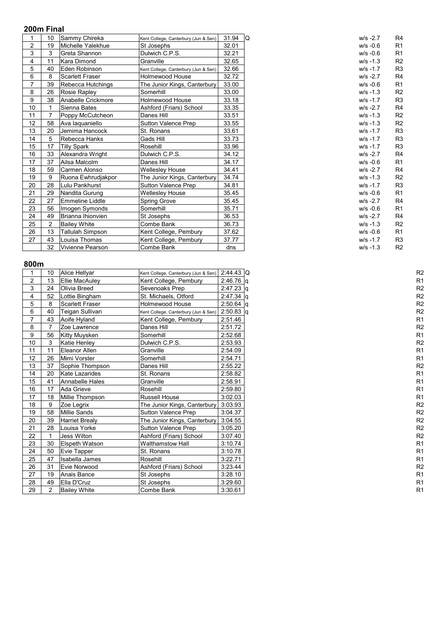| 1              | 10 | Sammy Chireka                  | Kent College, Canterbury (Jun & Sen) | 31.94 | l Q<br>$w/s - 2.7$ |  |
|----------------|----|--------------------------------|--------------------------------------|-------|--------------------|--|
| $\overline{c}$ | 19 | Michelle Yalekhue              | St Josephs                           | 32.01 | $W/S -0.6$         |  |
| 3              | 3  | Greta Shannon                  | Dulwich C.P.S.                       | 32.21 | $w/s -0.6$         |  |
| 4              | 11 | Kara Dimond                    | Granville                            | 32.65 | $w/s - 1.3$        |  |
| 5              | 40 | Eden Robinson                  | Kent College, Canterbury (Jun & Sen) | 32.66 | $W/S -1.7$         |  |
| 6              | 8  | <b>Scarlett Fraser</b>         | Holmewood House                      | 32.72 | $W/S -2.7$         |  |
| $\overline{7}$ | 39 | Rebecca Hutchings              | The Junior Kings, Canterbury         | 33.00 | $w/s -0.6$         |  |
| 8              | 26 | Rosie Rapley                   | Somerhill                            | 33.00 | $w/s - 1.3$        |  |
| 9              | 38 | Anabelle Crickmore             | Holmewood House                      | 33.18 | $w/s - 1.7$        |  |
| 10             |    | Sienna Bates                   | Ashford (Friars) School              | 33.35 | $w/s - 2.7$        |  |
| 11             |    | Poppy McCutcheon               | Danes Hill                           | 33.51 | $w/s - 1.3$        |  |
| 12             | 58 | Ava laquaniello                | Sutton Valence Prep                  | 33.55 | $w/s - 1.3$        |  |
| 13             | 20 | Jemima Hancock                 | St. Ronans                           | 33.61 | $w/s - 1.7$        |  |
| 14             | 5  | Rebecca Hanks                  | Gads Hill                            | 33.73 | $w/s - 1.7$        |  |
| 15             | 17 | <b>Tilly Spark</b><br>Rosehill |                                      | 33.96 | $w/s - 1.7$        |  |
| 16             | 33 | Alexandra Wright               | Dulwich C.P.S.                       | 34.12 | $w/s - 2.7$        |  |
| 17             | 37 | Ailsa Malcolm                  | Danes Hill                           | 34.17 | $w/s -0.6$         |  |
| 18             | 59 | Carmen Alonso                  | <b>Wellesley House</b>               | 34.41 | $w/s - 2.7$        |  |
| 19             | 9  | Ruona Ewhrudiakpor             | The Junior Kings, Canterbury         | 34.74 | $w/s - 1.3$        |  |
| 20             | 28 | Lulu Pankhurst                 | Sutton Valence Prep                  | 34.81 | $w/s - 1.7$        |  |
| 21             | 29 | Nandita Gurung                 | <b>Wellesley House</b>               | 35.45 | $w/s -0.6$         |  |
| 22             | 27 | Emmeline Liddle                | Spring Grove                         | 35.45 | $w/s - 2.7$        |  |
| 23             | 56 | Imogen Symonds                 | Somerhill                            | 35.71 | $w/s -0.6$         |  |
| 24             | 49 | Brianna Ihionvien              | St Josephs                           | 36.53 | $w/s - 2.7$        |  |
| 25             | 2  | <b>Bailey White</b>            | Combe Bank                           | 36.73 | $w/s - 1.3$        |  |
| 26             | 13 | Tallulah Simpson               | Kent College, Pembury                | 37.62 | $W/S -0.6$         |  |
| 27             | 43 | Louisa Thomas                  | Kent College, Pembury                | 37.77 | $w/s - 1.7$        |  |
|                | 32 | Vivienne Pearson               | Combe Bank                           | dns   | $W/S - 1.3$        |  |

| $W/S -0.6$  | R1 |
|-------------|----|
| w/s -0.6    | R1 |
| $W/S - 1.3$ | R2 |
| $W/S -1.7$  | R3 |
| $W/S -2.7$  | R4 |
| $W/S -0.6$  | R1 |
| $W/S - 1.3$ | R2 |
| $w/s - 1.7$ | R3 |
| $W/S -2.7$  | R4 |
| $W/S - 1.3$ | R2 |
| $W/S - 1.3$ | R2 |
| $W/S -1.7$  | RЗ |
| $W/S -1.7$  | R3 |
| $w/s - 1.7$ | R3 |
| $W/S -2.7$  | R4 |
| $W/S -0.6$  | R1 |
| $W/S - 2.7$ | R4 |
| $W/S - 1.3$ | R2 |
| w/s -1.7    | RЗ |
| $W/S -0.6$  | R1 |
| $W/S -2.7$  | R4 |
| $W/S -0.6$  | R1 |
| $W/S - 2.7$ | R4 |
| $W/S - 1.3$ | R2 |
| $W/S -0.6$  | R1 |
| w/s -1.7    | RЗ |

# **800m**

|    | 10             | Alice Hellyar          | Kent College, Canterbury (Jun & Sen) 2:44.43 Q |             | R <sub>2</sub> |
|----|----------------|------------------------|------------------------------------------------|-------------|----------------|
| 2  | 13             | Ellie MacAuley         | Kent College, Pembury                          | $2:46.76$ q | R <sub>1</sub> |
| 3  | 24             | Olivia Breed           | Sevenoaks Prep                                 | $2:47.23$ q | R <sub>2</sub> |
| 4  | 52             | Lottie Bingham         | St. Michaels, Otford                           | $2:47.34$ q | R <sub>2</sub> |
| 5  | 8              | <b>Scarlett Fraser</b> | <b>Holmewood House</b>                         | $2:50.64$ q | R <sub>2</sub> |
| 6  | 40             | Teigan Sullivan        | Kent College, Canterbury (Jun & Sen)           | $2:50.83$ q | R <sub>2</sub> |
|    | 43             | Aoife Hyland           | Kent College, Pembury                          | 2:51.46     | R <sub>1</sub> |
| 8  | $\overline{7}$ | Zoe Lawrence           | Danes Hill                                     | 2:51.72     | R <sub>2</sub> |
| 9  | 56             | Kitty Muysken          | Somerhill                                      | 2:52.68     | R <sub>1</sub> |
| 10 | 3              | <b>Katie Henley</b>    | Dulwich C.P.S.                                 | 2:53.93     | R <sub>2</sub> |
| 11 | 11             | <b>Eleanor Allen</b>   | Granville                                      | 2:54.09     | R <sub>1</sub> |
| 12 | 26             | Mimi Vorster           | Somerhill                                      | 2:54.71     | R <sub>1</sub> |
| 13 | 37             | Sophie Thompson        | Danes Hill                                     | 2:55.22     | R <sub>2</sub> |
| 14 | 20             | <b>Kate Lazarides</b>  | St. Ronans                                     | 2:58.82     | R <sub>1</sub> |
| 15 | 41             | <b>Annabelle Hales</b> | Granville                                      | 2:58.91     | R <sub>1</sub> |
| 16 | 17             | Ada Grieve             | Rosehill                                       | 2:59.80     | R <sub>1</sub> |
| 17 | 18             | Millie Thompson        | <b>Russell House</b>                           | 3:02.03     | R <sub>1</sub> |
| 18 | 9              | Zoe Legrix             | The Junior Kings, Canterbury                   | 3:03.93     | R <sub>2</sub> |
| 19 | 58             | <b>Millie Sands</b>    | Sutton Valence Prep                            | 3:04.37     | R <sub>2</sub> |
| 20 | 39             | <b>Harriet Brealy</b>  | The Junior Kings, Canterbury                   | 3:04.55     | R <sub>2</sub> |
| 21 | 28             | Louisa Yorke           | Sutton Valence Prep                            | 3:05.20     | R <sub>2</sub> |
| 22 |                | <b>Jess Wilton</b>     | Ashford (Friars) School                        | 3:07.40     | R <sub>2</sub> |
| 23 | 30             | <b>Elspeth Watson</b>  | <b>Walthamstow Hall</b>                        | 3:10.74     | R <sub>1</sub> |
| 24 | 50             | Evie Tapper            | St. Ronans                                     | 3:10.78     | R <sub>1</sub> |
| 25 | 47             | Isabella James         | Rosehill                                       | 3:22.71     | R <sub>1</sub> |
| 26 | 31             | Evie Norwood           | Ashford (Friars) School                        | 3:23.44     | R <sub>2</sub> |
| 27 | 19             | Anais Bance            | St Josephs                                     | 3:28.10     | R <sub>1</sub> |
| 28 | 49             | Ella D'Cruz            | St Josephs                                     | 3:29.60     | R <sub>1</sub> |
| 29 | 2              | <b>Bailey White</b>    | Combe Bank                                     | 3:30.61     | R <sub>1</sub> |
|    |                |                        |                                                |             |                |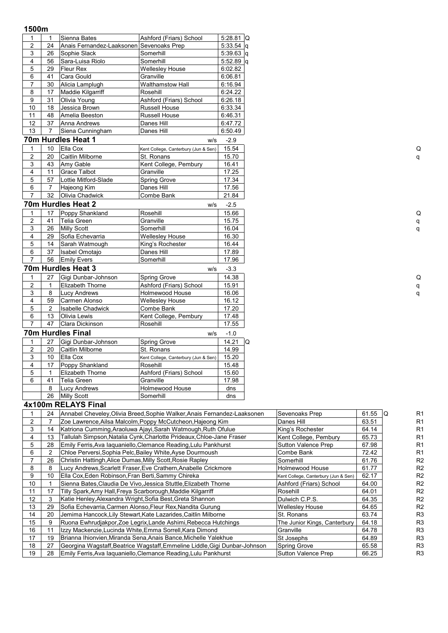## **1500m**

| 1               | $\mathbf{1}$   | Sienna Bates                              | Ashford (Friars) School              | $5:28.81$ Q |
|-----------------|----------------|-------------------------------------------|--------------------------------------|-------------|
| $\overline{c}$  | 24             | Anais Fernandez-Laaksonen Sevenoaks Prep  |                                      | $5:33.54$ q |
| 3               | 26             | Sophie Slack                              | Somerhill                            | $5:39.63$ q |
| 4               | 56             | Sara-Luisa Riolo                          | Somerhill                            | $5:52.89$ q |
| 5               | 29             | Fleur Rex                                 | <b>Wellesley House</b>               | 6:02.82     |
| 6               | 41             | Cara Gould                                | Granville                            | 6:06.81     |
| 7               | 30             | Alicia Lamplugh                           | <b>Walthamstow Hall</b>              | 6:16.94     |
| 8               | 17             | Maddie Kilgarriff                         | Rosehill                             | 6:24.22     |
| 9               | 31             | Olivia Young                              | Ashford (Friars) School              | 6:26.18     |
| 10              | 18             | Jessica Brown                             | Russell House                        | 6:33.34     |
| 11              | 48             | Amelia Beeston                            | Russell House                        | 6:46.31     |
| $\overline{12}$ | 37             | Anna Andrews                              | Danes Hill                           | 6:47.72     |
| 13              | 7              | Siena Cunningham                          | Danes Hill                           | 6:50.49     |
|                 |                | 70m Hurdles Heat 1                        | w/s                                  | $-2.9$      |
| 1               | 10             | Ella Cox                                  | Kent College, Canterbury (Jun & Sen) | 15.54       |
| $\overline{c}$  | 20             | Caitlin Milborne                          | St. Ronans                           | 15.70       |
| 3               | 43             | Amy Gable                                 | Kent College, Pembury                | 16.41       |
| 4               | 11             | <b>Grace Talbot</b>                       | Granville                            | 17.25       |
| 5               | 57             | Lottie Mitford-Slade                      | <b>Spring Grove</b>                  | 17.34       |
| 6               | $\overline{7}$ | Hajeong Kim                               | Danes Hill                           | 17.56       |
| $\overline{7}$  | 32             | Olivia Chadwick                           | Combe Bank                           | 21.84       |
|                 |                | 70m Hurdles Heat 2                        | W/S                                  | $-2.5$      |
| 1               | 17             | Poppy Shankland                           | Rosehill                             | 15.66       |
| $\overline{c}$  | 41             | <b>Telia Green</b>                        | Granville                            | 15.75       |
| 3               | 26             | <b>Milly Scott</b>                        | Somerhill                            | 16.04       |
| 4               | 29             | Sofia Echevarria                          | <b>Wellesley House</b>               | 16.30       |
| 5               | 14             | Sarah Watmough                            | King's Rochester                     | 16.44       |
| 6               | 37             | Isabel Omotajo                            | Danes Hill                           | 17.89       |
| $\overline{7}$  | 56             | <b>Emily Evers</b>                        | Somerhill                            | 17.96       |
|                 |                | 70m Hurdles Heat 3                        | W/S                                  | $-3.3$      |
| 1               | 27             | Gigi Dunbar-Johnson                       | Spring Grove                         | 14.38       |
| $\overline{c}$  | $\mathbf{1}$   | Elizabeth Thorne                          | Ashford (Friars) School              | 15.91       |
| 3               | 8              | <b>Lucy Andrews</b>                       | Holmewood House                      | 16.06       |
| $\overline{4}$  | 59             |                                           | <b>Wellesley House</b>               | 16.12       |
| 5               | 2              | Carmen Alonso<br><b>Isabelle Chadwick</b> | Combe Bank                           | 17.20       |
| 6               | 13             | Olivia Lewis                              | Kent College, Pembury                | 17.48       |
| $\overline{7}$  | 47             | Clara Dickinson                           | Rosehill                             | 17.55       |
|                 |                | 70m Hurdles Final                         |                                      |             |
|                 |                |                                           | W/S                                  | $-1.0$      |
| 1               | 27             | Gigi Dunbar-Johnson                       | Spring Grove                         | 14.21<br>Q  |
| $\overline{c}$  | 20             | Caitlin Milborne                          | St. Ronans                           | 14.99       |
| 3               | 10             | Ella Cox                                  | Kent College, Canterbury (Jun & Sen) | 15.20       |
| $\overline{4}$  | 17             | Poppy Shankland                           | Rosehill                             | 15.48       |
| 5               | $\mathbf{1}$   | <b>Elizabeth Thorne</b>                   | Ashford (Friars) School              | 15.60       |
| 6               | 41             | <b>Telia Green</b>                        | Granville                            | 17.98       |
|                 | 8              | <b>Lucy Andrews</b>                       | Holmewood House                      | dns         |
|                 | 26             | <b>Milly Scott</b><br>--- ---- --         | Somerhill                            | dns         |
|                 |                |                                           |                                      |             |

#### **4x100m RELAYS Final**

|    | 24 | Annabel Cheveley, Olivia Breed, Sophie Walker, Anais Fernandez-Laaksonen   | Sevenoaks Prep                       | 61.55 | R <sub>1</sub><br>IQ |
|----|----|----------------------------------------------------------------------------|--------------------------------------|-------|----------------------|
| 2  |    | Zoe Lawrence, Ailsa Malcolm, Poppy McCutcheon, Hajeong Kim                 | Danes Hill                           | 63.51 | R <sub>1</sub>       |
| 3  | 14 | Katriona Cumming, Araoluwa Ajayi, Sarah Watmough, Ruth Ofulue              | King's Rochester                     | 64.14 | R <sub>1</sub>       |
| 4  | 13 | Fallulah Simpson, Natalia Cynk, Charlotte Prideaux, Chloe-Jane Fraser      | Kent College, Pembury                | 65.73 | R <sub>1</sub>       |
| 5  | 28 | Emily Ferris, Ava Iaguaniello, Clemance Reading, Lulu Pankhurst            | Sutton Valence Prep                  | 67.98 | R <sub>1</sub>       |
| 6  | 2  | Chloe Perversi, Sophia Pelc, Bailey White, Ayse Dourmoush                  | Combe Bank                           | 72.42 | R <sub>1</sub>       |
|    | 26 | Christin Hattingh, Alice Dumas, Milly Scott, Rosie Rapley                  | Somerhill                            | 61.76 | R <sub>2</sub>       |
| 8  | 8  | Lucy Andrews, Scarlett Fraser, Eve Crathern, Anabelle Crickmore            | <b>Holmewood House</b>               | 61.77 | R <sub>2</sub>       |
| 9  | 10 | Ella Cox, Eden Robinson, Fran Berti, Sammy Chireka                         | Kent College, Canterbury (Jun & Sen) | 62.17 | R <sub>2</sub>       |
| 10 |    | Sienna Bates, Claudia De Vivo, Jessica Stuttle, Elizabeth Thorne           | Ashford (Friars) School              | 64.00 | R <sub>2</sub>       |
| 11 | 17 | Tilly Spark, Amy Hall, Freya Scarborough, Maddie Kilgarriff                | Rosehill                             | 64.01 | R <sub>2</sub>       |
| 12 | 3  | Katie Henley, Alexandra Wright, Sofia Best, Greta Shannon                  | Dulwich C.P.S.                       | 64.35 | R <sub>2</sub>       |
| 13 | 29 | Sofia Echevarria, Carmen Alonso, Fleur Rex, Nandita Gurung                 | <b>Wellesley House</b>               | 64.65 | R <sub>2</sub>       |
| 14 | 20 | Jemima Hancock, Lily Stewart, Kate Lazarides, Caitlin Milborne             | St. Ronans                           | 63.74 | R <sub>3</sub>       |
| 15 | 9  | Ruona Ewhrudjakpor, Zoe Legrix, Lande Ashimi, Rebecca Hutchings            | The Junior Kings, Canterbury         | 64.18 | R <sub>3</sub>       |
| 16 | 11 | Izzy Mackenzie, Lucinda White, Emma Sorrell, Kara Dimond                   | Granville                            | 64.78 | R <sub>3</sub>       |
| 17 | 19 | Brianna Ihionvien, Miranda Sena, Anais Bance, Michelle Yalekhue            | St Josephs                           | 64.89 | R <sub>3</sub>       |
| 18 | 27 | Georgina Wagstaff, Beatrice Wagstaff, Emmeline Liddle, Gigi Dunbar-Johnson | Spring Grove                         | 65.58 | R <sub>3</sub>       |
| 19 | 28 | Emily Ferris, Ava Iaquaniello, Clemance Reading, Lulu Pankhurst            | Sutton Valence Prep                  | 66.25 | R <sub>3</sub>       |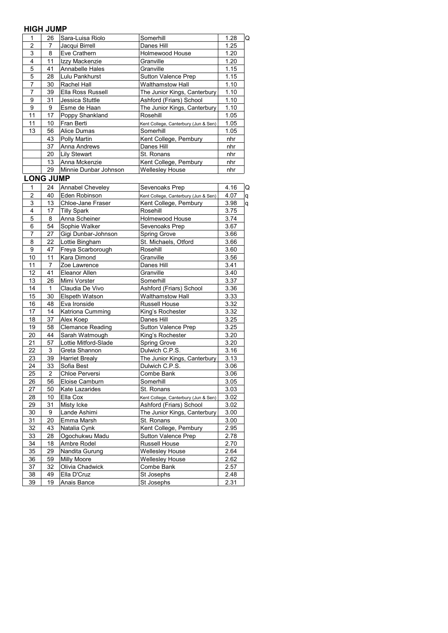## **HIGH JUMP**

| '''            | u u iv           |                         |                                      |      |   |
|----------------|------------------|-------------------------|--------------------------------------|------|---|
| 1              | 26               | Sara-Luisa Riolo        | Somerhill                            | 1.28 | Q |
| 2              | 7                | Jacqui Birrell          | Danes Hill                           | 1.25 |   |
| 3              | 8                | Eve Crathern            | <b>Holmewood House</b>               | 1.20 |   |
| 4              | 11               | Izzy Mackenzie          | Granville                            | 1.20 |   |
| 5              | 41               | Annabelle Hales         | Granville                            | 1.15 |   |
| 5              | 28               | Lulu Pankhurst          | Sutton Valence Prep                  | 1.15 |   |
| $\overline{7}$ | 30               | Rachel Hall             | <b>Walthamstow Hall</b>              | 1.10 |   |
| $\overline{7}$ | 39               | Ella Ross Russell       | The Junior Kings, Canterbury         | 1.10 |   |
| 9              | 31               | Jessica Stuttle         | Ashford (Friars) School              | 1.10 |   |
| 9              | 9                | Esme de Haan            | The Junior Kings, Canterbury         | 1.10 |   |
| 11             |                  |                         |                                      |      |   |
|                | 17               | Poppy Shankland         | Rosehill                             | 1.05 |   |
| 11             | 10               | Fran Berti              | Kent College, Canterbury (Jun & Sen) | 1.05 |   |
| 13             | 56               | <b>Alice Dumas</b>      | Somerhill                            | 1.05 |   |
|                | 43               | Polly Martin            | Kent College, Pembury                | nhr  |   |
|                | 37               | Anna Andrews            | Danes Hill                           | nhr  |   |
|                | 20               | <b>Lily Stewart</b>     | St. Ronans                           | nhr  |   |
|                | 13               | Anna Mckenzie           | Kent College, Pembury                | nhr  |   |
|                | 29               | Minnie Dunbar Johnson   | <b>Wellesley House</b>               | nhr  |   |
|                | <b>LONG JUMP</b> |                         |                                      |      |   |
| 1              | 24               | Annabel Cheveley        | Sevenoaks Prep                       | 4.16 | Q |
| $\overline{2}$ | 40               | Eden Robinson           | Kent College, Canterbury (Jun & Sen) | 4.07 | q |
| 3              | 13               | Chloe-Jane Fraser       | Kent College, Pembury                | 3.98 | q |
| 4              | 17               | <b>Tilly Spark</b>      | Rosehill                             | 3.75 |   |
| 5              | 8                | Anna Scheiner           | Holmewood House                      | 3.74 |   |
| 6              | 54               | Sophie Walker           | Sevenoaks Prep                       | 3.67 |   |
| 7              | 27               | Gigi Dunbar-Johnson     | Spring Grove                         | 3.66 |   |
| 8              |                  | Lottie Bingham          |                                      |      |   |
|                | 22               |                         | St. Michaels, Otford                 | 3.66 |   |
| 9              | 47               | Freya Scarborough       | Rosehill                             | 3.60 |   |
| 10             | 11               | Kara Dimond             | Granville                            | 3.56 |   |
| 11             | 7                | Zoe Lawrence            | Danes Hill                           | 3.41 |   |
| 12             | 41               | Eleanor Allen           | Granville                            | 3.40 |   |
| 13             | 26               | Mimi Vorster            | Somerhill                            | 3.37 |   |
| 14             | 1                | Claudia De Vivo         | Ashford (Friars) School              | 3.36 |   |
| 15             | 30               | Elspeth Watson          | <b>Walthamstow Hall</b>              | 3.33 |   |
| 16             | 48               | Eva Ironside            | <b>Russell House</b>                 | 3.32 |   |
| 17             | 14               | Katriona Cumming        | King's Rochester                     | 3.32 |   |
| 18             | 37               | Alex Koep               | Danes Hill                           | 3.25 |   |
| 19             | 58               | <b>Clemance Reading</b> | Sutton Valence Prep                  | 3.25 |   |
| 20             | 44               | Sarah Watmough          | King's Rochester                     | 3.20 |   |
| 21             |                  | Lottie Mitford-Slade    |                                      | 3.20 |   |
| 22             | 57               | Greta Shannon           | Spring Grove<br>Dulwich C.P.S.       | 3.16 |   |
|                | 3                |                         |                                      |      |   |
| 23             | 39               | <b>Harriet Brealy</b>   | The Junior Kings, Canterbury         | 3.13 |   |
| 24             | 33               | Sofia Best              | Dulwich C.P.S.                       | 3.06 |   |
| 25             | 2                | Chloe Perversi          | Combe Bank                           | 3.06 |   |
| 26             | 56               | Eloise Camburn          | Somerhill                            | 3.05 |   |
| 27             | 50               | Kate Lazarides          | St. Ronans                           | 3.03 |   |
| 28             | 10               | Ella Cox                | Kent College, Canterbury (Jun & Sen) | 3.02 |   |
| 29             | 31               | Misty Icke              | Ashford (Friars) School              | 3.02 |   |
| 30             | 9                | Lande Ashimi            | The Junior Kings, Canterbury         | 3.00 |   |
| 31             | 20               | Emma Marsh              | St. Ronans                           | 3.00 |   |
| 32             | 43               | Natalia Cynk            | Kent College, Pembury                | 2.95 |   |
| 33             | 28               | Ogochukwu Madu          | Sutton Valence Prep                  | 2.78 |   |
| 34             | 18               | Ambre Rodel             | Russell House                        | 2.70 |   |
| 35             | 29               | Nandita Gurung          | <b>Wellesley House</b>               | 2.64 |   |
|                |                  |                         |                                      |      |   |
| 36             | 59               | Milly Moore             | Wellesley House                      | 2.62 |   |
| 37             | 32               | Olivia Chadwick         | Combe Bank                           | 2.57 |   |
| 38             | 49               | Ella D'Cruz             | St Josephs                           | 2.48 |   |
| 39             | 19               | Anais Bance             | St Josephs                           | 2.31 |   |